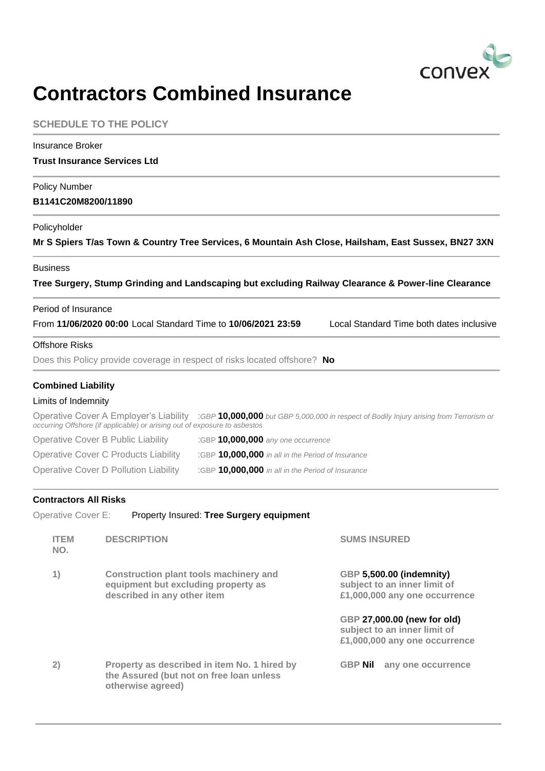

## **Contractors Combined Insurance**

|                                                  | <b>SCHEDULE TO THE POLICY</b>                                                                                                                                                                                                                                                                                                                                                                                                                                                                     |                                                                                                                                                                                           |
|--------------------------------------------------|---------------------------------------------------------------------------------------------------------------------------------------------------------------------------------------------------------------------------------------------------------------------------------------------------------------------------------------------------------------------------------------------------------------------------------------------------------------------------------------------------|-------------------------------------------------------------------------------------------------------------------------------------------------------------------------------------------|
| <b>Insurance Broker</b>                          | <b>Trust Insurance Services Ltd</b>                                                                                                                                                                                                                                                                                                                                                                                                                                                               |                                                                                                                                                                                           |
| <b>Policy Number</b><br>B1141C20M8200/11890      |                                                                                                                                                                                                                                                                                                                                                                                                                                                                                                   |                                                                                                                                                                                           |
| Policyholder                                     | Mr S Spiers T/as Town & Country Tree Services, 6 Mountain Ash Close, Hailsham, East Sussex, BN27 3XN                                                                                                                                                                                                                                                                                                                                                                                              |                                                                                                                                                                                           |
| <b>Business</b>                                  | Tree Surgery, Stump Grinding and Landscaping but excluding Railway Clearance & Power-line Clearance                                                                                                                                                                                                                                                                                                                                                                                               |                                                                                                                                                                                           |
| Period of Insurance                              | From 11/06/2020 00:00 Local Standard Time to 10/06/2021 23:59                                                                                                                                                                                                                                                                                                                                                                                                                                     | Local Standard Time both dates inclusive                                                                                                                                                  |
| <b>Offshore Risks</b>                            | Does this Policy provide coverage in respect of risks located offshore? No                                                                                                                                                                                                                                                                                                                                                                                                                        |                                                                                                                                                                                           |
| <b>Combined Liability</b><br>Limits of Indemnity | Operative Cover A Employer's Liability : GBP 10,000,000 but GBP 5,000,000 in respect of Bodily Injury arising from Terrorism or<br>occurring Offshore (if applicable) or arising out of exposure to asbestos<br><b>Operative Cover B Public Liability</b><br>:GBP 10,000,000 any one occurrence<br><b>Operative Cover C Products Liability</b><br>:GBP 10,000,000 in all in the Period of Insurance<br>Operative Cover D Pollution Liability<br>:GBP 10,000,000 in all in the Period of Insurance |                                                                                                                                                                                           |
| <b>Contractors All Risks</b>                     | Property Insured: Tree Surgery equipment                                                                                                                                                                                                                                                                                                                                                                                                                                                          |                                                                                                                                                                                           |
| Operative Cover E:<br><b>ITEM</b><br>NO.         | <b>DESCRIPTION</b>                                                                                                                                                                                                                                                                                                                                                                                                                                                                                | <b>SUMS INSURED</b>                                                                                                                                                                       |
| 1)                                               | <b>Construction plant tools machinery and</b><br>equipment but excluding property as<br>described in any other item                                                                                                                                                                                                                                                                                                                                                                               | GBP 5,500.00 (indemnity)<br>subject to an inner limit of<br>£1,000,000 any one occurrence<br>GBP 27,000.00 (new for old)<br>subject to an inner limit of<br>£1,000,000 any one occurrence |
| 2)                                               | Property as described in item No. 1 hired by<br>the Assured (but not on free loan unless<br>otherwise agreed)                                                                                                                                                                                                                                                                                                                                                                                     | <b>GBP Nil</b><br>any one occurrence                                                                                                                                                      |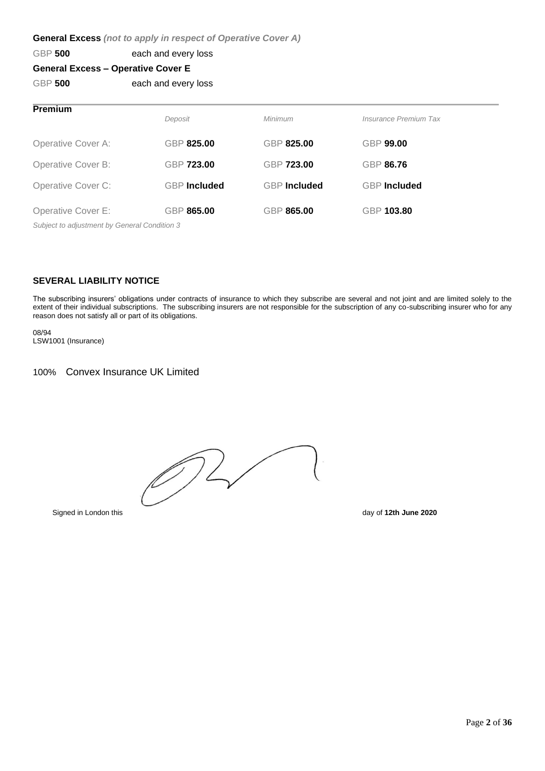## **General Excess** *(not to apply in respect of Operative Cover A)*

## GBP **500** each and every loss

## **General Excess – Operative Cover E**

GBP 500 each and every loss

| <b>Premium</b>                               | Deposit             | Minimum             | Insurance Premium Tax |  |  |
|----------------------------------------------|---------------------|---------------------|-----------------------|--|--|
| Operative Cover A:                           | GBP 825.00          | GBP 825.00          | <b>GBP 99.00</b>      |  |  |
| Operative Cover B:                           | <b>GBP 723.00</b>   | GBP 723.00          | <b>GBP 86.76</b>      |  |  |
| Operative Cover C:                           | <b>GBP</b> Included | <b>GBP</b> Included | <b>GBP</b> Included   |  |  |
| Operative Cover E:                           | GBP 865.00          | GBP 865.00          | GBP 103.80            |  |  |
| Subject to adjustment by General Condition 3 |                     |                     |                       |  |  |

### **SEVERAL LIABILITY NOTICE**

The subscribing insurers' obligations under contracts of insurance to which they subscribe are several and not joint and are limited solely to the extent of their individual subscriptions. The subscribing insurers are not responsible for the subscription of any co-subscribing insurer who for any reason does not satisfy all or part of its obligations.

08/94 LSW1001 (Insurance)

## 100% Convex Insurance UK Limited

072

Signed in London this day of **12th June 2020**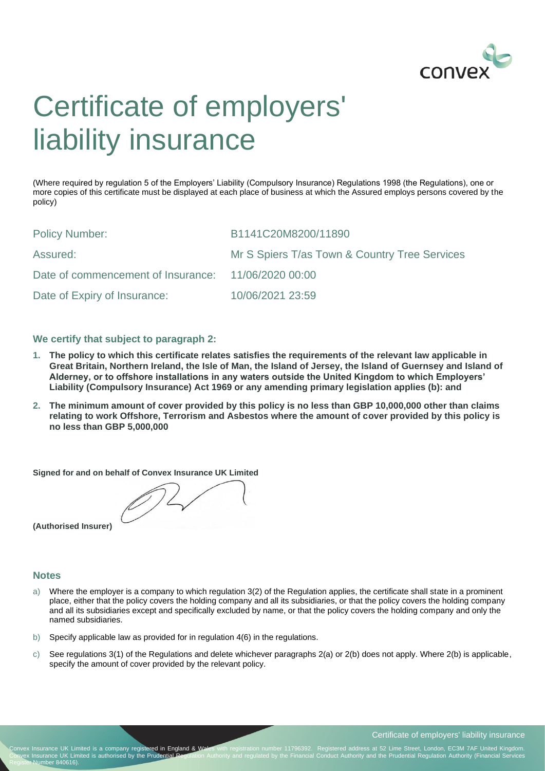

## Certificate of employers' liability insurance

(Where required by regulation 5 of the Employers' Liability (Compulsory Insurance) Regulations 1998 (the Regulations), one or more copies of this certificate must be displayed at each place of business at which the Assured employs persons covered by the policy)

| <b>Policy Number:</b>                               | B1141C20M8200/11890                           |
|-----------------------------------------------------|-----------------------------------------------|
| Assured:                                            | Mr S Spiers T/as Town & Country Tree Services |
| Date of commencement of Insurance: 11/06/2020 00:00 |                                               |
| Date of Expiry of Insurance:                        | 10/06/2021 23:59                              |

### **We certify that subject to paragraph 2:**

- **1. The policy to which this certificate relates satisfies the requirements of the relevant law applicable in Great Britain, Northern Ireland, the Isle of Man, the Island of Jersey, the Island of Guernsey and Island of Alderney, or to offshore installations in any waters outside the United Kingdom to which Employers' Liability (Compulsory Insurance) Act 1969 or any amending primary legislation applies (b): and**
- **2. The minimum amount of cover provided by this policy is no less than GBP 10,000,000 other than claims relating to work Offshore, Terrorism and Asbestos where the amount of cover provided by this policy is no less than GBP 5,000,000**

**Signed for and on behalf of Convex Insurance UK Limited** 

**(Authorised Insurer)** 

#### **Notes**

- a) Where the employer is a company to which regulation 3(2) of the Regulation applies, the certificate shall state in a prominent place, either that the policy covers the holding company and all its subsidiaries, or that the policy covers the holding company and all its subsidiaries except and specifically excluded by name, or that the policy covers the holding company and only the named subsidiaries.
- b) Specify applicable law as provided for in regulation 4(6) in the regulations.
- c) See regulations 3(1) of the Regulations and delete whichever paragraphs 2(a) or 2(b) does not apply. Where 2(b) is applicable, specify the amount of cover provided by the relevant policy.

Page **3** of **36**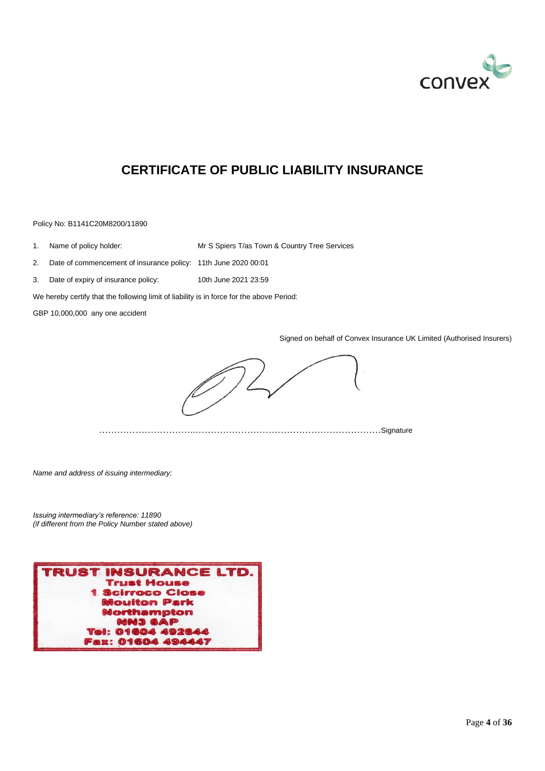

## **CERTIFICATE OF PUBLIC LIABILITY INSURANCE**

Policy No: B1141C20M8200/11890

1. Name of policy holder: Mr S Spiers T/as Town & Country Tree Services

2. Date of commencement of insurance policy: 11th June 2020 00:01

3. Date of expiry of insurance policy: 10th June 2021 23:59

We hereby certify that the following limit of liability is in force for the above Period:

GBP 10,000,000 any one accident

Signed on behalf of Convex Insurance UK Limited (Authorised Insurers)

…………………………..…………………………………………………….Signature

*Name and address of issuing intermediary:*

*Issuing intermediary's reference: 11890 (if different from the Policy Number stated above)*

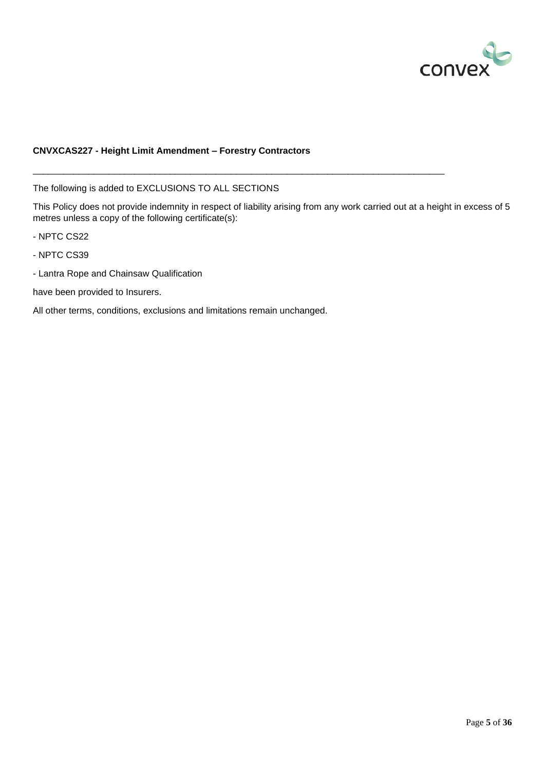

### **CNVXCAS227 - Height Limit Amendment – Forestry Contractors**

The following is added to EXCLUSIONS TO ALL SECTIONS

This Policy does not provide indemnity in respect of liability arising from any work carried out at a height in excess of 5 metres unless a copy of the following certificate(s):

\_\_\_\_\_\_\_\_\_\_\_\_\_\_\_\_\_\_\_\_\_\_\_\_\_\_\_\_\_\_\_\_\_\_\_\_\_\_\_\_\_\_\_\_\_\_\_\_\_\_\_\_\_\_\_\_\_\_\_\_\_\_\_\_\_\_\_\_\_\_\_\_\_\_\_\_\_\_\_\_\_

- NPTC CS22
- NPTC CS39
- Lantra Rope and Chainsaw Qualification

have been provided to Insurers.

All other terms, conditions, exclusions and limitations remain unchanged.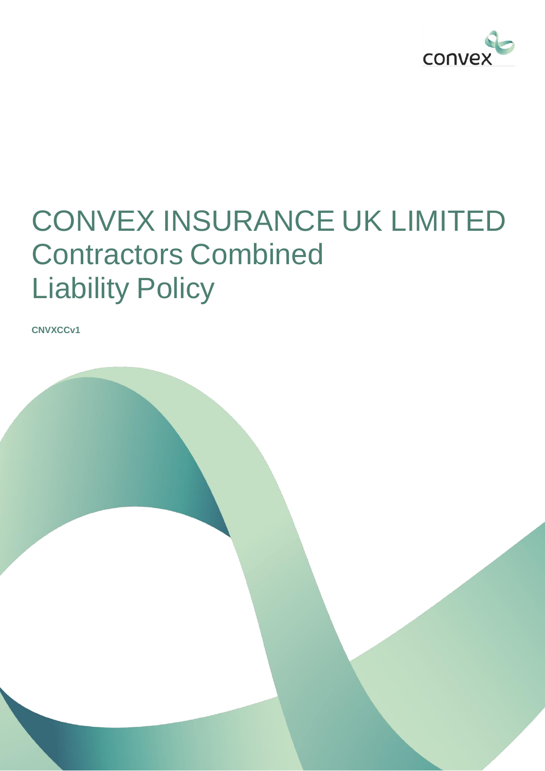

## CONVEX INSURANCE UK LIMITED Contractors Combined Liability Policy

**CNVXCCv1**

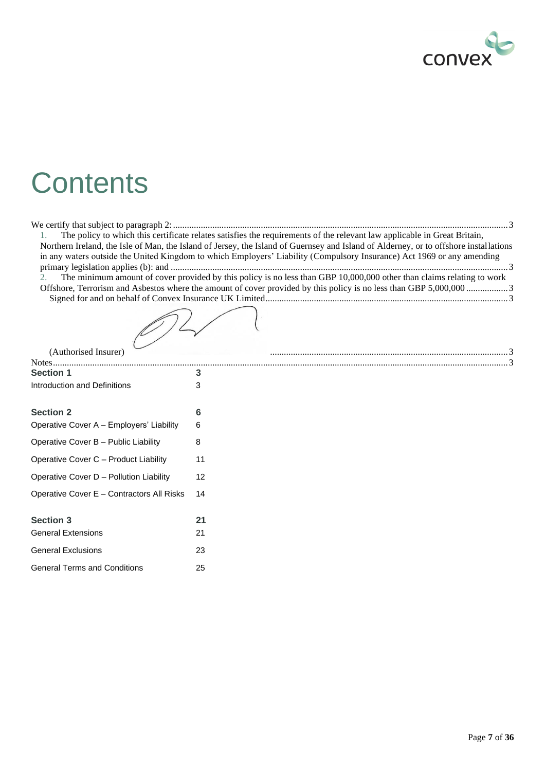

## **Contents**

|                                           | The policy to which this certificate relates satisfies the requirements of the relevant law applicable in Great Britain,             |
|-------------------------------------------|--------------------------------------------------------------------------------------------------------------------------------------|
|                                           | Northern Ireland, the Isle of Man, the Island of Jersey, the Island of Guernsey and Island of Alderney, or to offshore installations |
|                                           | in any waters outside the United Kingdom to which Employers' Liability (Compulsory Insurance) Act 1969 or any amending               |
|                                           |                                                                                                                                      |
| 2.                                        | The minimum amount of cover provided by this policy is no less than GBP 10,000,000 other than claims relating to work                |
|                                           |                                                                                                                                      |
|                                           |                                                                                                                                      |
|                                           |                                                                                                                                      |
| (Authorised Insurer)                      |                                                                                                                                      |
|                                           |                                                                                                                                      |
| <b>Section 1</b>                          | 3                                                                                                                                    |
| Introduction and Definitions              | 3                                                                                                                                    |
| <b>Section 2</b>                          | 6                                                                                                                                    |
| Operative Cover A - Employers' Liability  | 6                                                                                                                                    |
| Operative Cover B - Public Liability      | 8                                                                                                                                    |
| Operative Cover C - Product Liability     | 11                                                                                                                                   |
| Operative Cover D - Pollution Liability   | 12                                                                                                                                   |
| Operative Cover E - Contractors All Risks | 14                                                                                                                                   |
| <b>Section 3</b>                          | 21                                                                                                                                   |
| <b>General Extensions</b>                 | 21                                                                                                                                   |
| <b>General Exclusions</b>                 | 23                                                                                                                                   |
| <b>General Terms and Conditions</b>       | 25                                                                                                                                   |
|                                           |                                                                                                                                      |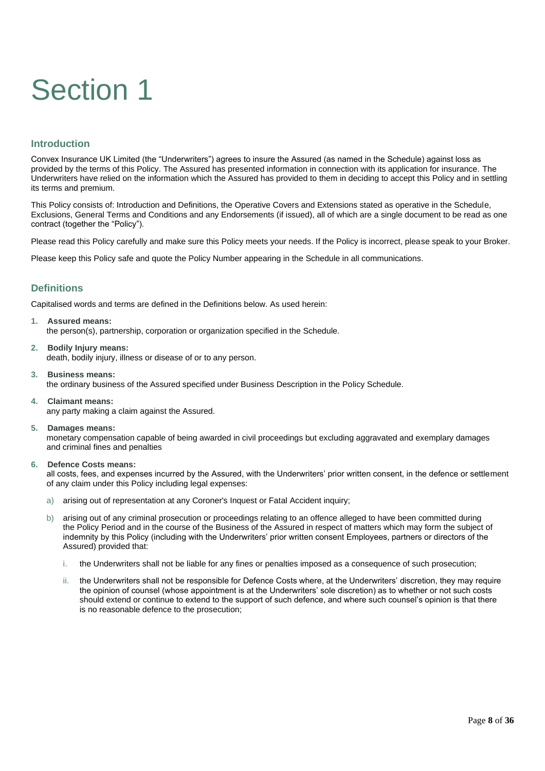# Section 1

## **Introduction**

Convex Insurance UK Limited (the "Underwriters") agrees to insure the Assured (as named in the Schedule) against loss as provided by the terms of this Policy. The Assured has presented information in connection with its application for insurance. The Underwriters have relied on the information which the Assured has provided to them in deciding to accept this Policy and in settling its terms and premium.

This Policy consists of: Introduction and Definitions, the Operative Covers and Extensions stated as operative in the Schedule, Exclusions, General Terms and Conditions and any Endorsements (if issued), all of which are a single document to be read as one contract (together the "Policy").

Please read this Policy carefully and make sure this Policy meets your needs. If the Policy is incorrect, please speak to your Broker.

Please keep this Policy safe and quote the Policy Number appearing in the Schedule in all communications.

## **Definitions**

Capitalised words and terms are defined in the Definitions below. As used herein:

- **1. Assured means:**  the person(s), partnership, corporation or organization specified in the Schedule.
- **2. Bodily Injury means:**  death, bodily injury, illness or disease of or to any person.
- **3. Business means:**  the ordinary business of the Assured specified under Business Description in the Policy Schedule.
- **4. Claimant means:**  any party making a claim against the Assured.
- **5. Damages means:**

monetary compensation capable of being awarded in civil proceedings but excluding aggravated and exemplary damages and criminal fines and penalties

**6. Defence Costs means:**

all costs, fees, and expenses incurred by the Assured, with the Underwriters' prior written consent, in the defence or settlement of any claim under this Policy including legal expenses:

- a) arising out of representation at any Coroner's Inquest or Fatal Accident inquiry;
- b) arising out of any criminal prosecution or proceedings relating to an offence alleged to have been committed during the Policy Period and in the course of the Business of the Assured in respect of matters which may form the subject of indemnity by this Policy (including with the Underwriters' prior written consent Employees, partners or directors of the Assured) provided that:
	- i. the Underwriters shall not be liable for any fines or penalties imposed as a consequence of such prosecution;
	- the Underwriters shall not be responsible for Defence Costs where, at the Underwriters' discretion, they may require the opinion of counsel (whose appointment is at the Underwriters' sole discretion) as to whether or not such costs should extend or continue to extend to the support of such defence, and where such counsel's opinion is that there is no reasonable defence to the prosecution;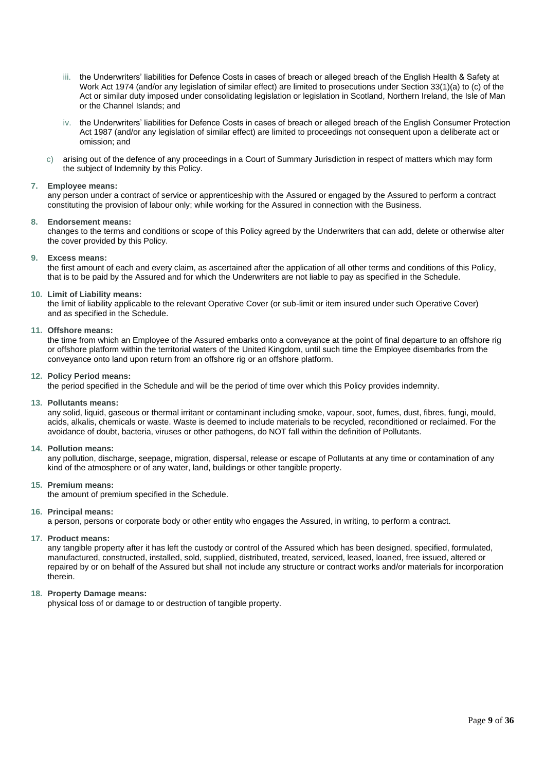- iii. the Underwriters' liabilities for Defence Costs in cases of breach or alleged breach of the English Health & Safety at Work Act 1974 (and/or any legislation of similar effect) are limited to prosecutions under Section 33(1)(a) to (c) of the Act or similar duty imposed under consolidating legislation or legislation in Scotland, Northern Ireland, the Isle of Man or the Channel Islands; and
- iv. the Underwriters' liabilities for Defence Costs in cases of breach or alleged breach of the English Consumer Protection Act 1987 (and/or any legislation of similar effect) are limited to proceedings not consequent upon a deliberate act or omission; and
- c) arising out of the defence of any proceedings in a Court of Summary Jurisdiction in respect of matters which may form the subject of Indemnity by this Policy.

#### **7. Employee means:**

any person under a contract of service or apprenticeship with the Assured or engaged by the Assured to perform a contract constituting the provision of labour only; while working for the Assured in connection with the Business.

#### **8. Endorsement means:**

changes to the terms and conditions or scope of this Policy agreed by the Underwriters that can add, delete or otherwise alter the cover provided by this Policy.

#### **9. Excess means:**

the first amount of each and every claim, as ascertained after the application of all other terms and conditions of this Policy, that is to be paid by the Assured and for which the Underwriters are not liable to pay as specified in the Schedule.

#### **10. Limit of Liability means:**

the limit of liability applicable to the relevant Operative Cover (or sub-limit or item insured under such Operative Cover) and as specified in the Schedule.

#### **11. Offshore means:**

the time from which an Employee of the Assured embarks onto a conveyance at the point of final departure to an offshore rig or offshore platform within the territorial waters of the United Kingdom, until such time the Employee disembarks from the conveyance onto land upon return from an offshore rig or an offshore platform.

#### **12. Policy Period means:**

the period specified in the Schedule and will be the period of time over which this Policy provides indemnity.

#### **13. Pollutants means:**

any solid, liquid, gaseous or thermal irritant or contaminant including smoke, vapour, soot, fumes, dust, fibres, fungi, mould, acids, alkalis, chemicals or waste. Waste is deemed to include materials to be recycled, reconditioned or reclaimed. For the avoidance of doubt, bacteria, viruses or other pathogens, do NOT fall within the definition of Pollutants.

#### **14. Pollution means:**

any pollution, discharge, seepage, migration, dispersal, release or escape of Pollutants at any time or contamination of any kind of the atmosphere or of any water, land, buildings or other tangible property.

#### **15. Premium means:**

the amount of premium specified in the Schedule.

#### **16. Principal means:**

a person, persons or corporate body or other entity who engages the Assured, in writing, to perform a contract.

#### **17. Product means:**

any tangible property after it has left the custody or control of the Assured which has been designed, specified, formulated, manufactured, constructed, installed, sold, supplied, distributed, treated, serviced, leased, loaned, free issued, altered or repaired by or on behalf of the Assured but shall not include any structure or contract works and/or materials for incorporation therein.

#### **18. Property Damage means:**

physical loss of or damage to or destruction of tangible property.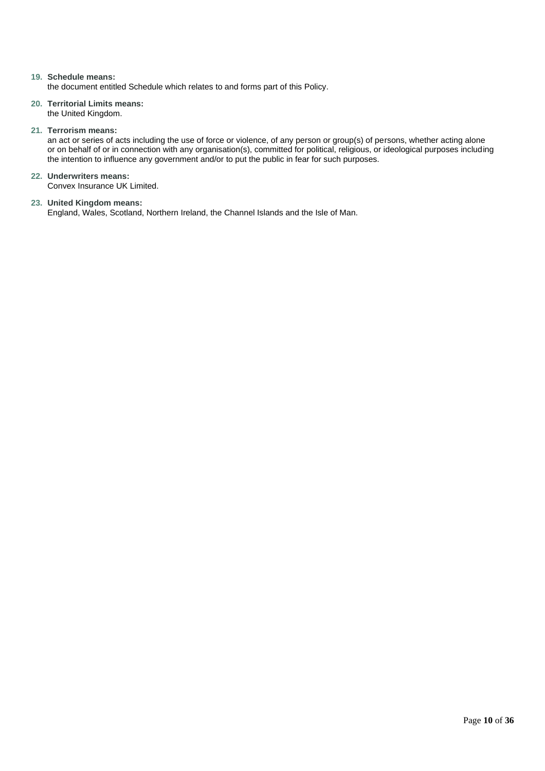#### **19. Schedule means:**

the document entitled Schedule which relates to and forms part of this Policy.

- **20. Territorial Limits means:** the United Kingdom.
- **21. Terrorism means:**

an act or series of acts including the use of force or violence, of any person or group(s) of persons, whether acting alone or on behalf of or in connection with any organisation(s), committed for political, religious, or ideological purposes including the intention to influence any government and/or to put the public in fear for such purposes.

**22. Underwriters means:** Convex Insurance UK Limited.

#### **23. United Kingdom means:**

England, Wales, Scotland, Northern Ireland, the Channel Islands and the Isle of Man.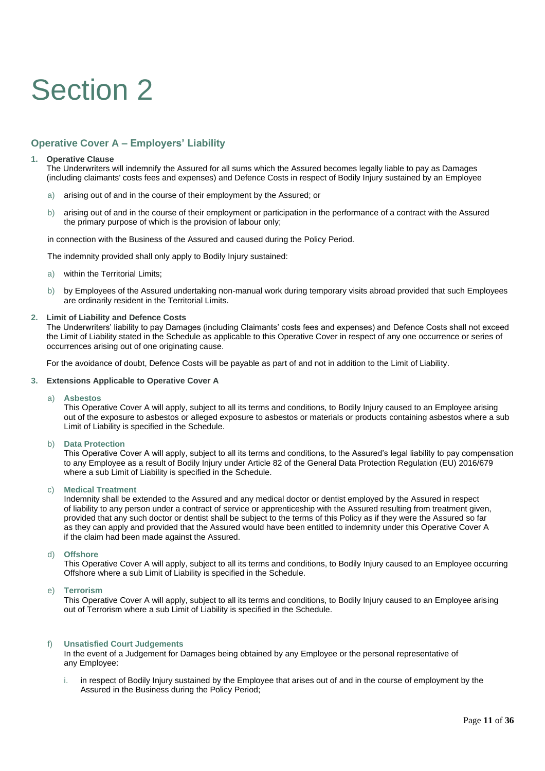## Section 2

## **Operative Cover A – Employers' Liability**

#### **1. Operative Clause**

The Underwriters will indemnify the Assured for all sums which the Assured becomes legally liable to pay as Damages (including claimants' costs fees and expenses) and Defence Costs in respect of Bodily Injury sustained by an Employee

- a) arising out of and in the course of their employment by the Assured; or
- b) arising out of and in the course of their employment or participation in the performance of a contract with the Assured the primary purpose of which is the provision of labour only;

in connection with the Business of the Assured and caused during the Policy Period.

The indemnity provided shall only apply to Bodily Injury sustained:

- a) within the Territorial Limits;
- b) by Employees of the Assured undertaking non-manual work during temporary visits abroad provided that such Employees are ordinarily resident in the Territorial Limits.

#### **2. Limit of Liability and Defence Costs**

The Underwriters' liability to pay Damages (including Claimants' costs fees and expenses) and Defence Costs shall not exceed the Limit of Liability stated in the Schedule as applicable to this Operative Cover in respect of any one occurrence or series of occurrences arising out of one originating cause.

For the avoidance of doubt, Defence Costs will be payable as part of and not in addition to the Limit of Liability.

#### **3. Extensions Applicable to Operative Cover A**

#### a) **Asbestos**

This Operative Cover A will apply, subject to all its terms and conditions, to Bodily Injury caused to an Employee arising out of the exposure to asbestos or alleged exposure to asbestos or materials or products containing asbestos where a sub Limit of Liability is specified in the Schedule.

#### b) **Data Protection**

This Operative Cover A will apply, subject to all its terms and conditions, to the Assured's legal liability to pay compensation to any Employee as a result of Bodily Injury under Article 82 of the General Data Protection Regulation (EU) 2016/679 where a sub Limit of Liability is specified in the Schedule.

#### c) **Medical Treatment**

Indemnity shall be extended to the Assured and any medical doctor or dentist employed by the Assured in respect of liability to any person under a contract of service or apprenticeship with the Assured resulting from treatment given, provided that any such doctor or dentist shall be subject to the terms of this Policy as if they were the Assured so far as they can apply and provided that the Assured would have been entitled to indemnity under this Operative Cover A if the claim had been made against the Assured.

#### d) **Offshore**

This Operative Cover A will apply, subject to all its terms and conditions, to Bodily Injury caused to an Employee occurring Offshore where a sub Limit of Liability is specified in the Schedule.

#### e) **Terrorism**

This Operative Cover A will apply, subject to all its terms and conditions, to Bodily Injury caused to an Employee arising out of Terrorism where a sub Limit of Liability is specified in the Schedule.

#### f) **Unsatisfied Court Judgements**

In the event of a Judgement for Damages being obtained by any Employee or the personal representative of any Employee:

i. in respect of Bodily Injury sustained by the Employee that arises out of and in the course of employment by the Assured in the Business during the Policy Period;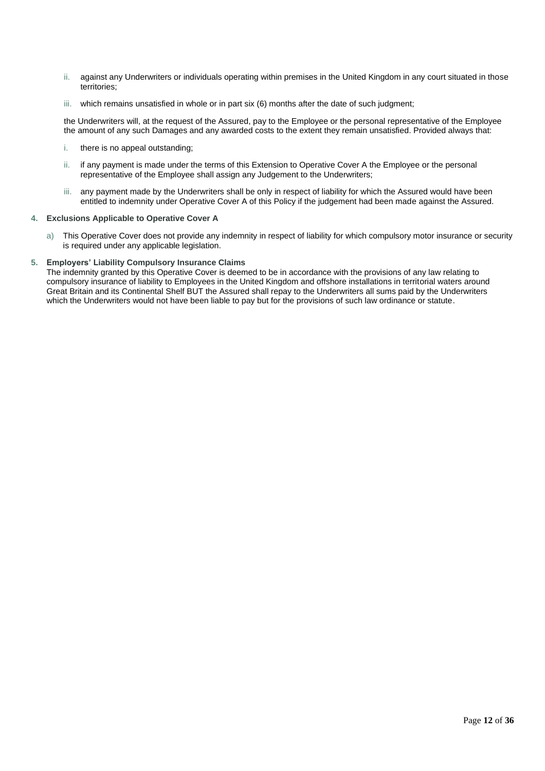- ii. against any Underwriters or individuals operating within premises in the United Kingdom in any court situated in those territories;
- iii. which remains unsatisfied in whole or in part six (6) months after the date of such judgment;

the Underwriters will, at the request of the Assured, pay to the Employee or the personal representative of the Employee the amount of any such Damages and any awarded costs to the extent they remain unsatisfied. Provided always that:

- i. there is no appeal outstanding;
- ii. if any payment is made under the terms of this Extension to Operative Cover A the Employee or the personal representative of the Employee shall assign any Judgement to the Underwriters;
- iii. any payment made by the Underwriters shall be only in respect of liability for which the Assured would have been entitled to indemnity under Operative Cover A of this Policy if the judgement had been made against the Assured.

#### **4. Exclusions Applicable to Operative Cover A**

- a) This Operative Cover does not provide any indemnity in respect of liability for which compulsory motor insurance or security is required under any applicable legislation.
- **5. Employers' Liability Compulsory Insurance Claims**

The indemnity granted by this Operative Cover is deemed to be in accordance with the provisions of any law relating to compulsory insurance of liability to Employees in the United Kingdom and offshore installations in territorial waters around Great Britain and its Continental Shelf BUT the Assured shall repay to the Underwriters all sums paid by the Underwriters which the Underwriters would not have been liable to pay but for the provisions of such law ordinance or statute.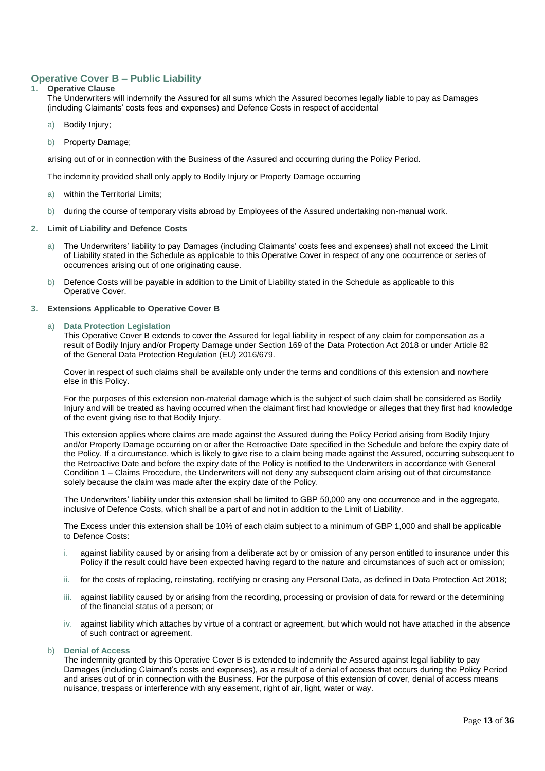### **Operative Cover B – Public Liability**

#### **1. Operative Clause**

The Underwriters will indemnify the Assured for all sums which the Assured becomes legally liable to pay as Damages (including Claimants' costs fees and expenses) and Defence Costs in respect of accidental

- a) Bodily Injury;
- b) Property Damage:

arising out of or in connection with the Business of the Assured and occurring during the Policy Period.

The indemnity provided shall only apply to Bodily Injury or Property Damage occurring

- a) within the Territorial Limits;
- b) during the course of temporary visits abroad by Employees of the Assured undertaking non-manual work.
- **2. Limit of Liability and Defence Costs**
	- a) The Underwriters' liability to pay Damages (including Claimants' costs fees and expenses) shall not exceed the Limit of Liability stated in the Schedule as applicable to this Operative Cover in respect of any one occurrence or series of occurrences arising out of one originating cause.
	- b) Defence Costs will be payable in addition to the Limit of Liability stated in the Schedule as applicable to this Operative Cover.
- **3. Extensions Applicable to Operative Cover B**

#### **Data Protection Legislation**

This Operative Cover B extends to cover the Assured for legal liability in respect of any claim for compensation as a result of Bodily Injury and/or Property Damage under Section 169 of the Data Protection Act 2018 or under Article 82 of the General Data Protection Regulation (EU) 2016/679.

Cover in respect of such claims shall be available only under the terms and conditions of this extension and nowhere else in this Policy.

For the purposes of this extension non-material damage which is the subject of such claim shall be considered as Bodily Injury and will be treated as having occurred when the claimant first had knowledge or alleges that they first had knowledge of the event giving rise to that Bodily Injury.

This extension applies where claims are made against the Assured during the Policy Period arising from Bodily Injury and/or Property Damage occurring on or after the Retroactive Date specified in the Schedule and before the expiry date of the Policy. If a circumstance, which is likely to give rise to a claim being made against the Assured, occurring subsequent to the Retroactive Date and before the expiry date of the Policy is notified to the Underwriters in accordance with General Condition 1 – Claims Procedure, the Underwriters will not deny any subsequent claim arising out of that circumstance solely because the claim was made after the expiry date of the Policy.

The Underwriters' liability under this extension shall be limited to GBP 50,000 any one occurrence and in the aggregate, inclusive of Defence Costs, which shall be a part of and not in addition to the Limit of Liability.

The Excess under this extension shall be 10% of each claim subject to a minimum of GBP 1,000 and shall be applicable to Defence Costs:

- i. against liability caused by or arising from a deliberate act by or omission of any person entitled to insurance under this Policy if the result could have been expected having regard to the nature and circumstances of such act or omission;
- ii. for the costs of replacing, reinstating, rectifying or erasing any Personal Data, as defined in Data Protection Act 2018;
- iii. against liability caused by or arising from the recording, processing or provision of data for reward or the determining of the financial status of a person; or
- iv. against liability which attaches by virtue of a contract or agreement, but which would not have attached in the absence of such contract or agreement.

#### b) **Denial of Access**

The indemnity granted by this Operative Cover B is extended to indemnify the Assured against legal liability to pay Damages (including Claimant's costs and expenses), as a result of a denial of access that occurs during the Policy Period and arises out of or in connection with the Business. For the purpose of this extension of cover, denial of access means nuisance, trespass or interference with any easement, right of air, light, water or way.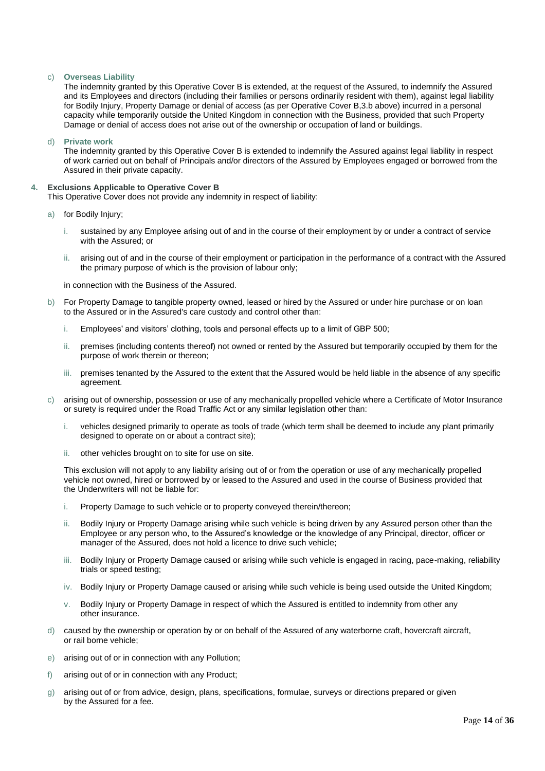#### c) **Overseas Liability**

The indemnity granted by this Operative Cover B is extended, at the request of the Assured, to indemnify the Assured and its Employees and directors (including their families or persons ordinarily resident with them), against legal liability for Bodily Injury, Property Damage or denial of access (as per Operative Cover B,3.b above) incurred in a personal capacity while temporarily outside the United Kingdom in connection with the Business, provided that such Property Damage or denial of access does not arise out of the ownership or occupation of land or buildings.

d) **Private work**

The indemnity granted by this Operative Cover B is extended to indemnify the Assured against legal liability in respect of work carried out on behalf of Principals and/or directors of the Assured by Employees engaged or borrowed from the Assured in their private capacity.

#### **4. Exclusions Applicable to Operative Cover B**

This Operative Cover does not provide any indemnity in respect of liability:

- a) for Bodily Injury;
	- i. sustained by any Employee arising out of and in the course of their employment by or under a contract of service with the Assured; or
	- ii. arising out of and in the course of their employment or participation in the performance of a contract with the Assured the primary purpose of which is the provision of labour only;

in connection with the Business of the Assured.

- b) For Property Damage to tangible property owned, leased or hired by the Assured or under hire purchase or on loan to the Assured or in the Assured's care custody and control other than:
	- i. Employees' and visitors' clothing, tools and personal effects up to a limit of GBP 500;
	- ii. premises (including contents thereof) not owned or rented by the Assured but temporarily occupied by them for the purpose of work therein or thereon;
	- iii. premises tenanted by the Assured to the extent that the Assured would be held liable in the absence of any specific agreement.
- c) arising out of ownership, possession or use of any mechanically propelled vehicle where a Certificate of Motor Insurance or surety is required under the Road Traffic Act or any similar legislation other than:
	- i. vehicles designed primarily to operate as tools of trade (which term shall be deemed to include any plant primarily designed to operate on or about a contract site);
	- ii. other vehicles brought on to site for use on site.

This exclusion will not apply to any liability arising out of or from the operation or use of any mechanically propelled vehicle not owned, hired or borrowed by or leased to the Assured and used in the course of Business provided that the Underwriters will not be liable for:

- i. Property Damage to such vehicle or to property conveyed therein/thereon;
- ii. Bodily Injury or Property Damage arising while such vehicle is being driven by any Assured person other than the Employee or any person who, to the Assured's knowledge or the knowledge of any Principal, director, officer or manager of the Assured, does not hold a licence to drive such vehicle;
- iii. Bodily Injury or Property Damage caused or arising while such vehicle is engaged in racing, pace-making, reliability trials or speed testing;
- iv. Bodily Injury or Property Damage caused or arising while such vehicle is being used outside the United Kingdom;
- v. Bodily Injury or Property Damage in respect of which the Assured is entitled to indemnity from other any other insurance.
- d) caused by the ownership or operation by or on behalf of the Assured of any waterborne craft, hovercraft aircraft, or rail borne vehicle;
- e) arising out of or in connection with any Pollution;
- f) arising out of or in connection with any Product;
- g) arising out of or from advice, design, plans, specifications, formulae, surveys or directions prepared or given by the Assured for a fee.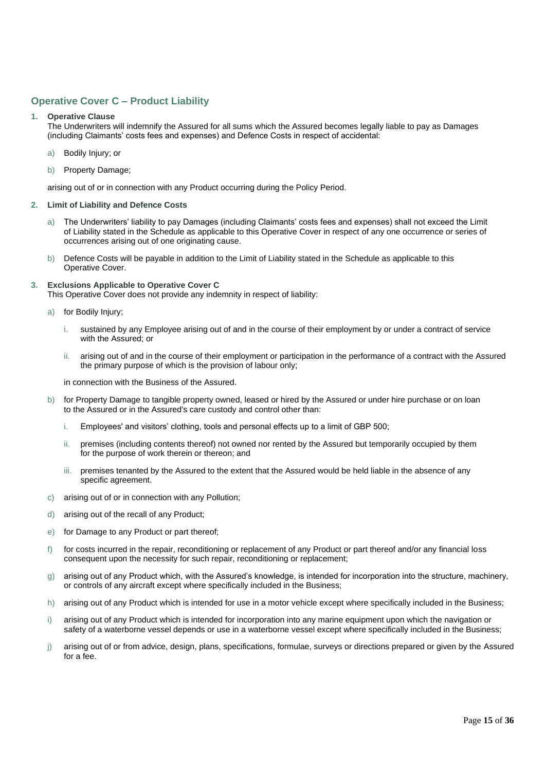## **Operative Cover C – Product Liability**

#### **1. Operative Clause**

The Underwriters will indemnify the Assured for all sums which the Assured becomes legally liable to pay as Damages (including Claimants' costs fees and expenses) and Defence Costs in respect of accidental:

- a) Bodily Injury; or
- b) Property Damage;

arising out of or in connection with any Product occurring during the Policy Period.

#### **2. Limit of Liability and Defence Costs**

- a) The Underwriters' liability to pay Damages (including Claimants' costs fees and expenses) shall not exceed the Limit of Liability stated in the Schedule as applicable to this Operative Cover in respect of any one occurrence or series of occurrences arising out of one originating cause.
- b) Defence Costs will be payable in addition to the Limit of Liability stated in the Schedule as applicable to this Operative Cover.
- **3. Exclusions Applicable to Operative Cover C**

This Operative Cover does not provide any indemnity in respect of liability:

- a) for Bodily Injury;
	- i. sustained by any Employee arising out of and in the course of their employment by or under a contract of service with the Assured; or
	- ii. arising out of and in the course of their employment or participation in the performance of a contract with the Assured the primary purpose of which is the provision of labour only;

in connection with the Business of the Assured.

- b) for Property Damage to tangible property owned, leased or hired by the Assured or under hire purchase or on loan to the Assured or in the Assured's care custody and control other than:
	- i. Employees' and visitors' clothing, tools and personal effects up to a limit of GBP 500;
	- ii. premises (including contents thereof) not owned nor rented by the Assured but temporarily occupied by them for the purpose of work therein or thereon; and
	- iii. premises tenanted by the Assured to the extent that the Assured would be held liable in the absence of any specific agreement.
- c) arising out of or in connection with any Pollution;
- d) arising out of the recall of any Product;
- e) for Damage to any Product or part thereof;
- f) for costs incurred in the repair, reconditioning or replacement of any Product or part thereof and/or any financial loss consequent upon the necessity for such repair, reconditioning or replacement;
- g) arising out of any Product which, with the Assured's knowledge, is intended for incorporation into the structure, machinery, or controls of any aircraft except where specifically included in the Business;
- h) arising out of any Product which is intended for use in a motor vehicle except where specifically included in the Business;
- i) arising out of any Product which is intended for incorporation into any marine equipment upon which the navigation or safety of a waterborne vessel depends or use in a waterborne vessel except where specifically included in the Business;
- j) arising out of or from advice, design, plans, specifications, formulae, surveys or directions prepared or given by the Assured for a fee.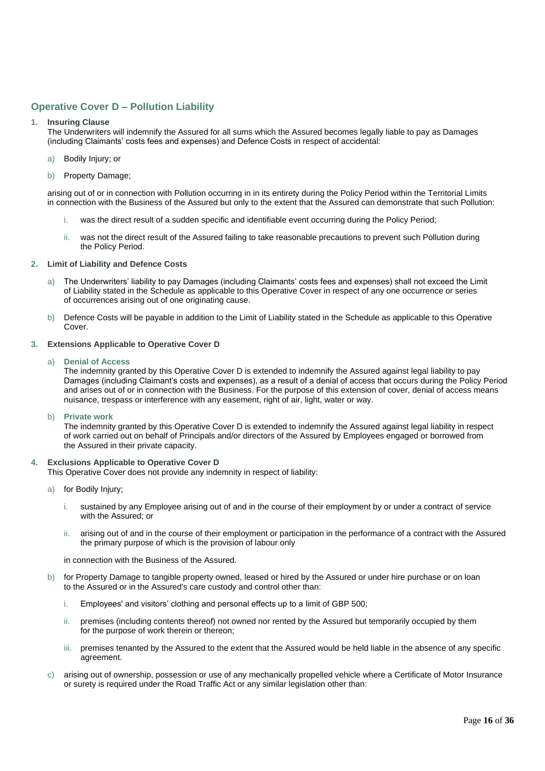## **Operative Cover D – Pollution Liability**

#### **1. Insuring Clause**

The Underwriters will indemnify the Assured for all sums which the Assured becomes legally liable to pay as Damages (including Claimants' costs fees and expenses) and Defence Costs in respect of accidental:

- a) Bodily Injury; or
- b) Property Damage;

arising out of or in connection with Pollution occurring in in its entirety during the Policy Period within the Territorial Limits in connection with the Business of the Assured but only to the extent that the Assured can demonstrate that such Pollution:

- i. was the direct result of a sudden specific and identifiable event occurring during the Policy Period;
- ii. was not the direct result of the Assured failing to take reasonable precautions to prevent such Pollution during the Policy Period.

#### **2. Limit of Liability and Defence Costs**

- a) The Underwriters' liability to pay Damages (including Claimants' costs fees and expenses) shall not exceed the Limit of Liability stated in the Schedule as applicable to this Operative Cover in respect of any one occurrence or series of occurrences arising out of one originating cause.
- b) Defence Costs will be payable in addition to the Limit of Liability stated in the Schedule as applicable to this Operative Cover.
- **3. Extensions Applicable to Operative Cover D**
	- a) **Denial of Access**

The indemnity granted by this Operative Cover D is extended to indemnify the Assured against legal liability to pay Damages (including Claimant's costs and expenses), as a result of a denial of access that occurs during the Policy Period and arises out of or in connection with the Business. For the purpose of this extension of cover, denial of access means nuisance, trespass or interference with any easement, right of air, light, water or way.

b) **Private work**

The indemnity granted by this Operative Cover D is extended to indemnify the Assured against legal liability in respect of work carried out on behalf of Principals and/or directors of the Assured by Employees engaged or borrowed from the Assured in their private capacity.

#### **4. Exclusions Applicable to Operative Cover D**

This Operative Cover does not provide any indemnity in respect of liability:

- a) for Bodily Injury;
	- i. sustained by any Employee arising out of and in the course of their employment by or under a contract of service with the Assured; or
	- ii. arising out of and in the course of their employment or participation in the performance of a contract with the Assured the primary purpose of which is the provision of labour only

in connection with the Business of the Assured.

- b) for Property Damage to tangible property owned, leased or hired by the Assured or under hire purchase or on loan to the Assured or in the Assured's care custody and control other than:
	- i. Employees' and visitors' clothing and personal effects up to a limit of GBP 500;
	- ii. premises (including contents thereof) not owned nor rented by the Assured but temporarily occupied by them for the purpose of work therein or thereon;
	- iii. premises tenanted by the Assured to the extent that the Assured would be held liable in the absence of any specific agreement.
- c) arising out of ownership, possession or use of any mechanically propelled vehicle where a Certificate of Motor Insurance or surety is required under the Road Traffic Act or any similar legislation other than: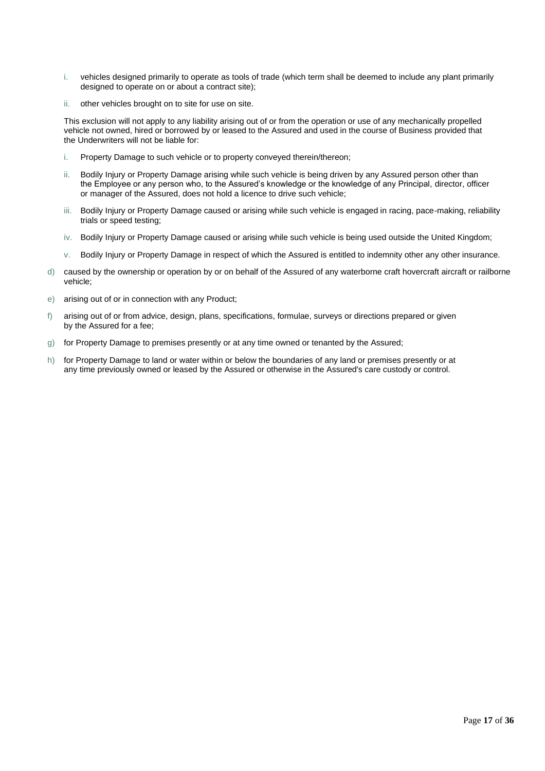- i. vehicles designed primarily to operate as tools of trade (which term shall be deemed to include any plant primarily designed to operate on or about a contract site);
- ii. other vehicles brought on to site for use on site.

This exclusion will not apply to any liability arising out of or from the operation or use of any mechanically propelled vehicle not owned, hired or borrowed by or leased to the Assured and used in the course of Business provided that the Underwriters will not be liable for:

- i. Property Damage to such vehicle or to property conveyed therein/thereon;
- ii. Bodily Injury or Property Damage arising while such vehicle is being driven by any Assured person other than the Employee or any person who, to the Assured's knowledge or the knowledge of any Principal, director, officer or manager of the Assured, does not hold a licence to drive such vehicle;
- iii. Bodily Injury or Property Damage caused or arising while such vehicle is engaged in racing, pace-making, reliability trials or speed testing;
- iv. Bodily Injury or Property Damage caused or arising while such vehicle is being used outside the United Kingdom;
- v. Bodily Injury or Property Damage in respect of which the Assured is entitled to indemnity other any other insurance.
- d) caused by the ownership or operation by or on behalf of the Assured of any waterborne craft hovercraft aircraft or railborne vehicle;
- e) arising out of or in connection with any Product;
- f) arising out of or from advice, design, plans, specifications, formulae, surveys or directions prepared or given by the Assured for a fee;
- g) for Property Damage to premises presently or at any time owned or tenanted by the Assured;
- h) for Property Damage to land or water within or below the boundaries of any land or premises presently or at any time previously owned or leased by the Assured or otherwise in the Assured's care custody or control.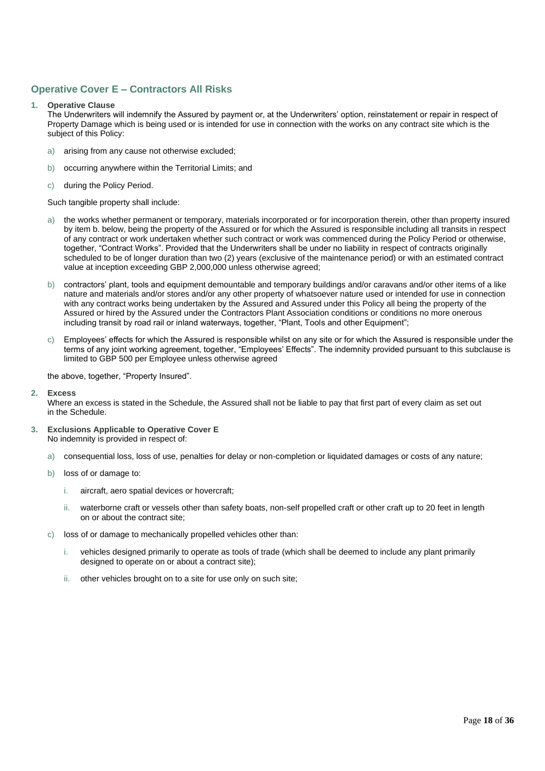## **Operative Cover E – Contractors All Risks**

#### **1. Operative Clause**

The Underwriters will indemnify the Assured by payment or, at the Underwriters' option, reinstatement or repair in respect of Property Damage which is being used or is intended for use in connection with the works on any contract site which is the subject of this Policy:

- a) arising from any cause not otherwise excluded;
- b) occurring anywhere within the Territorial Limits; and
- c) during the Policy Period.

Such tangible property shall include:

- a) the works whether permanent or temporary, materials incorporated or for incorporation therein, other than property insured by item b. below, being the property of the Assured or for which the Assured is responsible including all transits in respect of any contract or work undertaken whether such contract or work was commenced during the Policy Period or otherwise, together, "Contract Works". Provided that the Underwriters shall be under no liability in respect of contracts originally scheduled to be of longer duration than two (2) years (exclusive of the maintenance period) or with an estimated contract value at inception exceeding GBP 2,000,000 unless otherwise agreed;
- b) contractors' plant, tools and equipment demountable and temporary buildings and/or caravans and/or other items of a like nature and materials and/or stores and/or any other property of whatsoever nature used or intended for use in connection with any contract works being undertaken by the Assured and Assured under this Policy all being the property of the Assured or hired by the Assured under the Contractors Plant Association conditions or conditions no more onerous including transit by road rail or inland waterways, together, "Plant, Tools and other Equipment";
- c) Employees' effects for which the Assured is responsible whilst on any site or for which the Assured is responsible under the terms of any joint working agreement, together, "Employees' Effects". The indemnity provided pursuant to this subclause is limited to GBP 500 per Employee unless otherwise agreed

the above, together, "Property Insured".

**2. Excess**

Where an excess is stated in the Schedule, the Assured shall not be liable to pay that first part of every claim as set out in the Schedule.

- **3. Exclusions Applicable to Operative Cover E** No indemnity is provided in respect of:
	- a) consequential loss, loss of use, penalties for delay or non-completion or liquidated damages or costs of any nature;
	- b) loss of or damage to:
		- i. aircraft, aero spatial devices or hovercraft;
		- ii. waterborne craft or vessels other than safety boats, non-self propelled craft or other craft up to 20 feet in length on or about the contract site;
	- c) loss of or damage to mechanically propelled vehicles other than:
		- i. vehicles designed primarily to operate as tools of trade (which shall be deemed to include any plant primarily designed to operate on or about a contract site);
		- ii. other vehicles brought on to a site for use only on such site;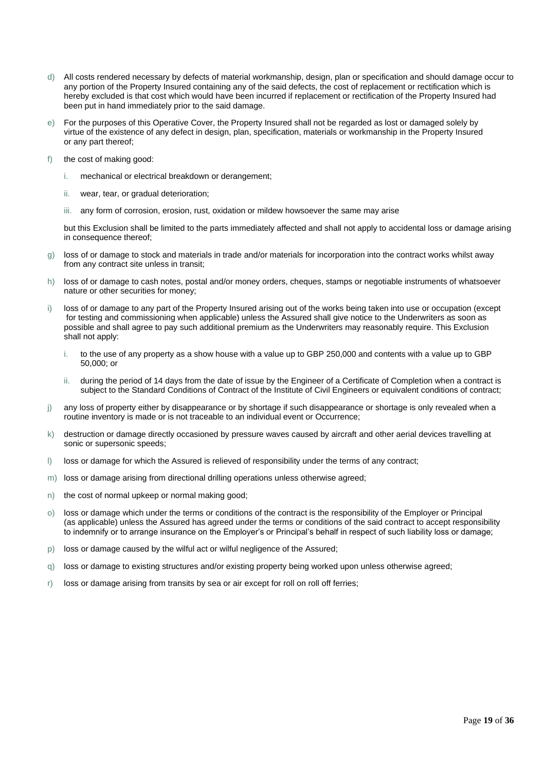- d) All costs rendered necessary by defects of material workmanship, design, plan or specification and should damage occur to any portion of the Property Insured containing any of the said defects, the cost of replacement or rectification which is hereby excluded is that cost which would have been incurred if replacement or rectification of the Property Insured had been put in hand immediately prior to the said damage.
- e) For the purposes of this Operative Cover, the Property Insured shall not be regarded as lost or damaged solely by virtue of the existence of any defect in design, plan, specification, materials or workmanship in the Property Insured or any part thereof;
- f) the cost of making good:
	- i. mechanical or electrical breakdown or derangement;
	- ii. wear, tear, or gradual deterioration;
	- iii. any form of corrosion, erosion, rust, oxidation or mildew howsoever the same may arise

but this Exclusion shall be limited to the parts immediately affected and shall not apply to accidental loss or damage arising in consequence thereof;

- g) loss of or damage to stock and materials in trade and/or materials for incorporation into the contract works whilst away from any contract site unless in transit;
- h) loss of or damage to cash notes, postal and/or money orders, cheques, stamps or negotiable instruments of whatsoever nature or other securities for money;
- i) loss of or damage to any part of the Property Insured arising out of the works being taken into use or occupation (except for testing and commissioning when applicable) unless the Assured shall give notice to the Underwriters as soon as possible and shall agree to pay such additional premium as the Underwriters may reasonably require. This Exclusion shall not apply:
	- i. to the use of any property as a show house with a value up to GBP 250,000 and contents with a value up to GBP 50,000; or
	- ii. during the period of 14 days from the date of issue by the Engineer of a Certificate of Completion when a contract is subject to the Standard Conditions of Contract of the Institute of Civil Engineers or equivalent conditions of contract;
- j) any loss of property either by disappearance or by shortage if such disappearance or shortage is only revealed when a routine inventory is made or is not traceable to an individual event or Occurrence;
- k) destruction or damage directly occasioned by pressure waves caused by aircraft and other aerial devices travelling at sonic or supersonic speeds;
- l) loss or damage for which the Assured is relieved of responsibility under the terms of any contract;
- m) loss or damage arising from directional drilling operations unless otherwise agreed;
- n) the cost of normal upkeep or normal making good;
- o) loss or damage which under the terms or conditions of the contract is the responsibility of the Employer or Principal (as applicable) unless the Assured has agreed under the terms or conditions of the said contract to accept responsibility to indemnify or to arrange insurance on the Employer's or Principal's behalf in respect of such liability loss or damage;
- p) loss or damage caused by the wilful act or wilful negligence of the Assured;
- q) loss or damage to existing structures and/or existing property being worked upon unless otherwise agreed;
- r) loss or damage arising from transits by sea or air except for roll on roll off ferries;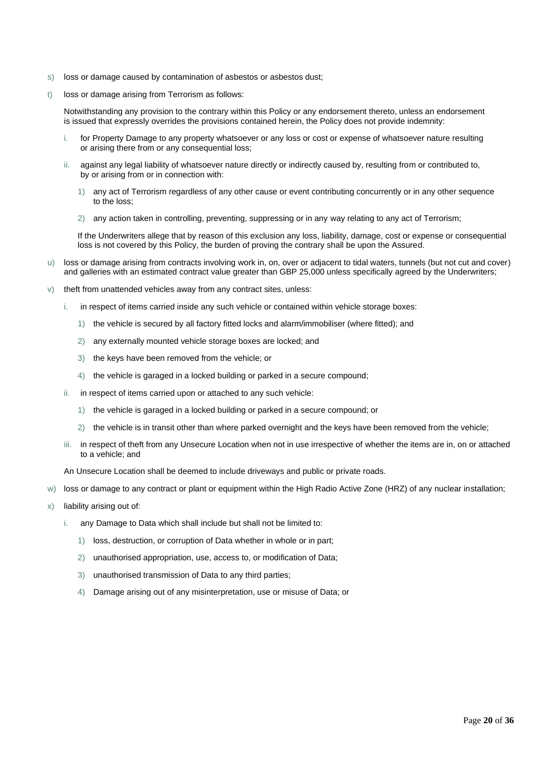- s) loss or damage caused by contamination of asbestos or asbestos dust;
- t) loss or damage arising from Terrorism as follows:

Notwithstanding any provision to the contrary within this Policy or any endorsement thereto, unless an endorsement is issued that expressly overrides the provisions contained herein, the Policy does not provide indemnity:

- for Property Damage to any property whatsoever or any loss or cost or expense of whatsoever nature resulting or arising there from or any consequential loss;
- ii. against any legal liability of whatsoever nature directly or indirectly caused by, resulting from or contributed to, by or arising from or in connection with:
	- 1) any act of Terrorism regardless of any other cause or event contributing concurrently or in any other sequence to the loss;
	- 2) any action taken in controlling, preventing, suppressing or in any way relating to any act of Terrorism;

If the Underwriters allege that by reason of this exclusion any loss, liability, damage, cost or expense or consequential loss is not covered by this Policy, the burden of proving the contrary shall be upon the Assured.

- u) loss or damage arising from contracts involving work in, on, over or adjacent to tidal waters, tunnels (but not cut and cover) and galleries with an estimated contract value greater than GBP 25,000 unless specifically agreed by the Underwriters;
- v) theft from unattended vehicles away from any contract sites, unless:
	- i. in respect of items carried inside any such vehicle or contained within vehicle storage boxes:
		- 1) the vehicle is secured by all factory fitted locks and alarm/immobiliser (where fitted); and
		- 2) any externally mounted vehicle storage boxes are locked; and
		- 3) the keys have been removed from the vehicle; or
		- 4) the vehicle is garaged in a locked building or parked in a secure compound;
	- ii. in respect of items carried upon or attached to any such vehicle:
		- 1) the vehicle is garaged in a locked building or parked in a secure compound; or
		- 2) the vehicle is in transit other than where parked overnight and the keys have been removed from the vehicle;
	- iii. in respect of theft from any Unsecure Location when not in use irrespective of whether the items are in, on or attached to a vehicle; and

An Unsecure Location shall be deemed to include driveways and public or private roads.

- w) loss or damage to any contract or plant or equipment within the High Radio Active Zone (HRZ) of any nuclear installation;
- x) liability arising out of:
	- i. any Damage to Data which shall include but shall not be limited to:
		- 1) loss, destruction, or corruption of Data whether in whole or in part;
		- 2) unauthorised appropriation, use, access to, or modification of Data;
		- 3) unauthorised transmission of Data to any third parties;
		- 4) Damage arising out of any misinterpretation, use or misuse of Data; or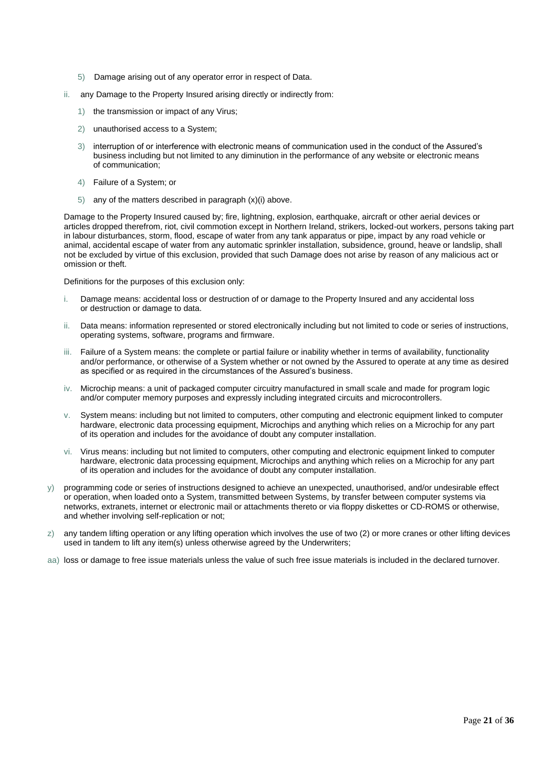- 5) Damage arising out of any operator error in respect of Data.
- ii. any Damage to the Property Insured arising directly or indirectly from:
	- 1) the transmission or impact of any Virus;
	- 2) unauthorised access to a System;
	- 3) interruption of or interference with electronic means of communication used in the conduct of the Assured's business including but not limited to any diminution in the performance of any website or electronic means of communication;
	- 4) Failure of a System; or
	- 5) any of the matters described in paragraph  $(x)(i)$  above.

Damage to the Property Insured caused by; fire, lightning, explosion, earthquake, aircraft or other aerial devices or articles dropped therefrom, riot, civil commotion except in Northern Ireland, strikers, locked-out workers, persons taking part in labour disturbances, storm, flood, escape of water from any tank apparatus or pipe, impact by any road vehicle or animal, accidental escape of water from any automatic sprinkler installation, subsidence, ground, heave or landslip, shall not be excluded by virtue of this exclusion, provided that such Damage does not arise by reason of any malicious act or omission or theft.

Definitions for the purposes of this exclusion only:

- i. Damage means: accidental loss or destruction of or damage to the Property Insured and any accidental loss or destruction or damage to data.
- ii. Data means: information represented or stored electronically including but not limited to code or series of instructions, operating systems, software, programs and firmware.
- iii. Failure of a System means: the complete or partial failure or inability whether in terms of availability, functionality and/or performance, or otherwise of a System whether or not owned by the Assured to operate at any time as desired as specified or as required in the circumstances of the Assured's business.
- iv. Microchip means: a unit of packaged computer circuitry manufactured in small scale and made for program logic and/or computer memory purposes and expressly including integrated circuits and microcontrollers.
- v. System means: including but not limited to computers, other computing and electronic equipment linked to computer hardware, electronic data processing equipment, Microchips and anything which relies on a Microchip for any part of its operation and includes for the avoidance of doubt any computer installation.
- vi. Virus means: including but not limited to computers, other computing and electronic equipment linked to computer hardware, electronic data processing equipment, Microchips and anything which relies on a Microchip for any part of its operation and includes for the avoidance of doubt any computer installation.
- y) programming code or series of instructions designed to achieve an unexpected, unauthorised, and/or undesirable effect or operation, when loaded onto a System, transmitted between Systems, by transfer between computer systems via networks, extranets, internet or electronic mail or attachments thereto or via floppy diskettes or CD-ROMS or otherwise, and whether involving self-replication or not;
- z) any tandem lifting operation or any lifting operation which involves the use of two (2) or more cranes or other lifting devices used in tandem to lift any item(s) unless otherwise agreed by the Underwriters;
- aa) loss or damage to free issue materials unless the value of such free issue materials is included in the declared turnover.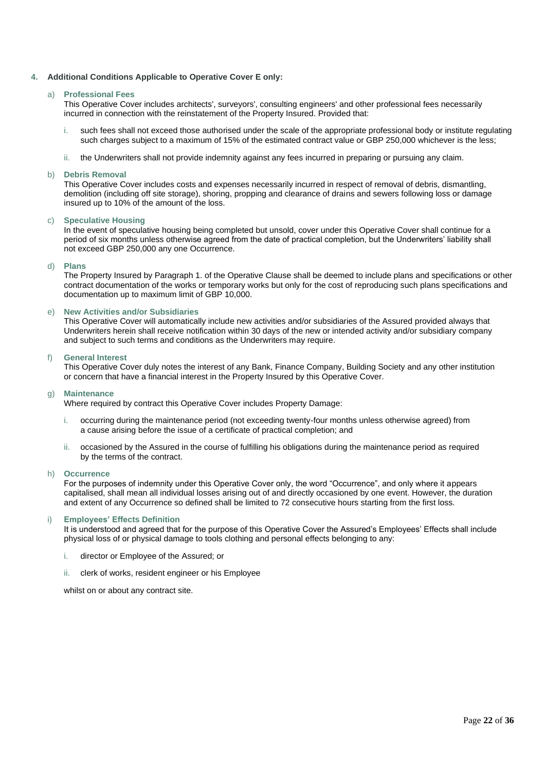#### **4. Additional Conditions Applicable to Operative Cover E only:**

#### a) **Professional Fees**

This Operative Cover includes architects', surveyors', consulting engineers' and other professional fees necessarily incurred in connection with the reinstatement of the Property Insured. Provided that:

- such fees shall not exceed those authorised under the scale of the appropriate professional body or institute regulating such charges subject to a maximum of 15% of the estimated contract value or GBP 250,000 whichever is the less;
- ii. the Underwriters shall not provide indemnity against any fees incurred in preparing or pursuing any claim.

#### b) **Debris Removal**

This Operative Cover includes costs and expenses necessarily incurred in respect of removal of debris, dismantling, demolition (including off site storage), shoring, propping and clearance of drains and sewers following loss or damage insured up to 10% of the amount of the loss.

#### c) **Speculative Housing**

In the event of speculative housing being completed but unsold, cover under this Operative Cover shall continue for a period of six months unless otherwise agreed from the date of practical completion, but the Underwriters' liability shall not exceed GBP 250,000 any one Occurrence.

#### d) **Plans**

The Property Insured by Paragraph 1. of the Operative Clause shall be deemed to include plans and specifications or other contract documentation of the works or temporary works but only for the cost of reproducing such plans specifications and documentation up to maximum limit of GBP 10,000.

#### e) **New Activities and/or Subsidiaries**

This Operative Cover will automatically include new activities and/or subsidiaries of the Assured provided always that Underwriters herein shall receive notification within 30 days of the new or intended activity and/or subsidiary company and subject to such terms and conditions as the Underwriters may require.

#### f) **General Interest**

This Operative Cover duly notes the interest of any Bank, Finance Company, Building Society and any other institution or concern that have a financial interest in the Property Insured by this Operative Cover.

#### g) **Maintenance**

Where required by contract this Operative Cover includes Property Damage:

- i. occurring during the maintenance period (not exceeding twenty-four months unless otherwise agreed) from a cause arising before the issue of a certificate of practical completion; and
- ii. occasioned by the Assured in the course of fulfilling his obligations during the maintenance period as required by the terms of the contract.

#### h) **Occurrence**

For the purposes of indemnity under this Operative Cover only, the word "Occurrence", and only where it appears capitalised, shall mean all individual losses arising out of and directly occasioned by one event. However, the duration and extent of any Occurrence so defined shall be limited to 72 consecutive hours starting from the first loss.

#### i) **Employees' Effects Definition**

It is understood and agreed that for the purpose of this Operative Cover the Assured's Employees' Effects shall include physical loss of or physical damage to tools clothing and personal effects belonging to any:

- i. director or Employee of the Assured; or
- ii. clerk of works, resident engineer or his Employee

whilst on or about any contract site.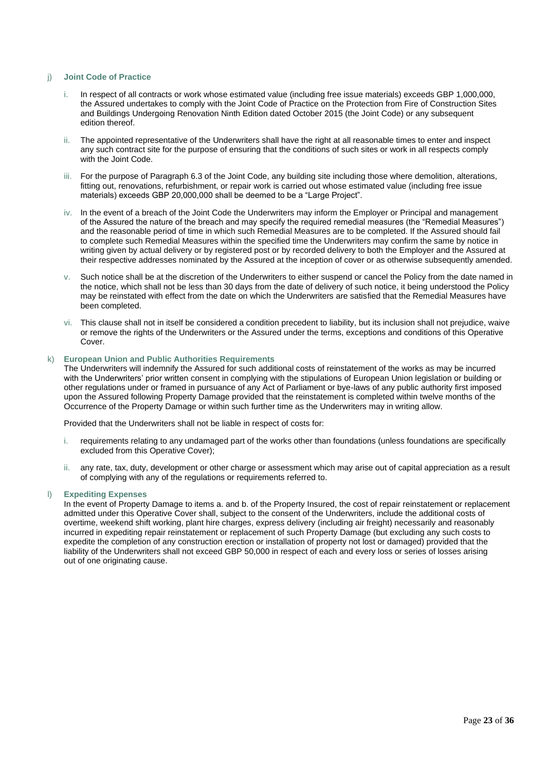#### j) **Joint Code of Practice**

- i. In respect of all contracts or work whose estimated value (including free issue materials) exceeds GBP 1,000,000, the Assured undertakes to comply with the Joint Code of Practice on the Protection from Fire of Construction Sites and Buildings Undergoing Renovation Ninth Edition dated October 2015 (the Joint Code) or any subsequent edition thereof.
- ii. The appointed representative of the Underwriters shall have the right at all reasonable times to enter and inspect any such contract site for the purpose of ensuring that the conditions of such sites or work in all respects comply with the Joint Code.
- iii. For the purpose of Paragraph 6.3 of the Joint Code, any building site including those where demolition, alterations, fitting out, renovations, refurbishment, or repair work is carried out whose estimated value (including free issue materials) exceeds GBP 20,000,000 shall be deemed to be a "Large Project".
- iv. In the event of a breach of the Joint Code the Underwriters may inform the Employer or Principal and management of the Assured the nature of the breach and may specify the required remedial measures (the "Remedial Measures") and the reasonable period of time in which such Remedial Measures are to be completed. If the Assured should fail to complete such Remedial Measures within the specified time the Underwriters may confirm the same by notice in writing given by actual delivery or by registered post or by recorded delivery to both the Employer and the Assured at their respective addresses nominated by the Assured at the inception of cover or as otherwise subsequently amended.
- Such notice shall be at the discretion of the Underwriters to either suspend or cancel the Policy from the date named in the notice, which shall not be less than 30 days from the date of delivery of such notice, it being understood the Policy may be reinstated with effect from the date on which the Underwriters are satisfied that the Remedial Measures have been completed.
- vi. This clause shall not in itself be considered a condition precedent to liability, but its inclusion shall not prejudice, waive or remove the rights of the Underwriters or the Assured under the terms, exceptions and conditions of this Operative Cover.

#### k) **European Union and Public Authorities Requirements**

The Underwriters will indemnify the Assured for such additional costs of reinstatement of the works as may be incurred with the Underwriters' prior written consent in complying with the stipulations of European Union legislation or building or other regulations under or framed in pursuance of any Act of Parliament or bye-laws of any public authority first imposed upon the Assured following Property Damage provided that the reinstatement is completed within twelve months of the Occurrence of the Property Damage or within such further time as the Underwriters may in writing allow.

Provided that the Underwriters shall not be liable in respect of costs for:

- i. requirements relating to any undamaged part of the works other than foundations (unless foundations are specifically excluded from this Operative Cover);
- ii. any rate, tax, duty, development or other charge or assessment which may arise out of capital appreciation as a result of complying with any of the regulations or requirements referred to.

#### l) **Expediting Expenses**

In the event of Property Damage to items a. and b. of the Property Insured, the cost of repair reinstatement or replacement admitted under this Operative Cover shall, subject to the consent of the Underwriters, include the additional costs of overtime, weekend shift working, plant hire charges, express delivery (including air freight) necessarily and reasonably incurred in expediting repair reinstatement or replacement of such Property Damage (but excluding any such costs to expedite the completion of any construction erection or installation of property not lost or damaged) provided that the liability of the Underwriters shall not exceed GBP 50,000 in respect of each and every loss or series of losses arising out of one originating cause.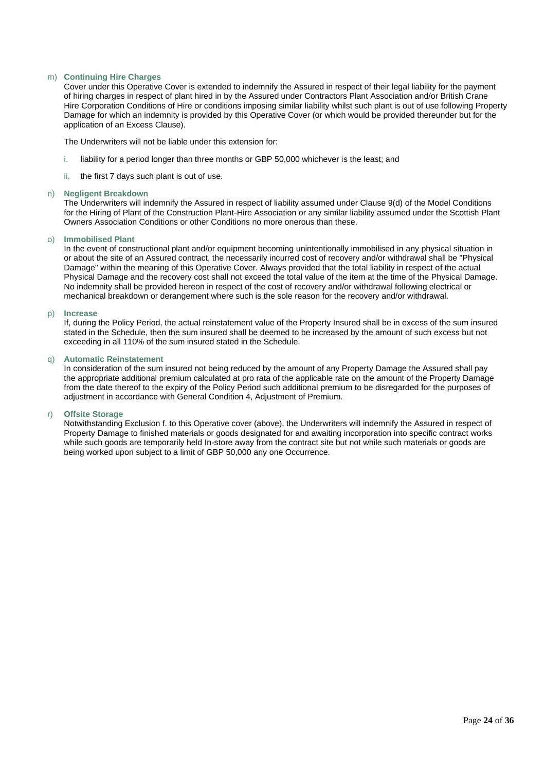#### m) **Continuing Hire Charges**

Cover under this Operative Cover is extended to indemnify the Assured in respect of their legal liability for the payment of hiring charges in respect of plant hired in by the Assured under Contractors Plant Association and/or British Crane Hire Corporation Conditions of Hire or conditions imposing similar liability whilst such plant is out of use following Property Damage for which an indemnity is provided by this Operative Cover (or which would be provided thereunder but for the application of an Excess Clause).

The Underwriters will not be liable under this extension for:

- i. liability for a period longer than three months or GBP 50,000 whichever is the least; and
- ii. the first 7 days such plant is out of use.

#### n) **Negligent Breakdown**

The Underwriters will indemnify the Assured in respect of liability assumed under Clause 9(d) of the Model Conditions for the Hiring of Plant of the Construction Plant-Hire Association or any similar liability assumed under the Scottish Plant Owners Association Conditions or other Conditions no more onerous than these.

#### o) **Immobilised Plant**

In the event of constructional plant and/or equipment becoming unintentionally immobilised in any physical situation in or about the site of an Assured contract, the necessarily incurred cost of recovery and/or withdrawal shall be "Physical Damage" within the meaning of this Operative Cover. Always provided that the total liability in respect of the actual Physical Damage and the recovery cost shall not exceed the total value of the item at the time of the Physical Damage. No indemnity shall be provided hereon in respect of the cost of recovery and/or withdrawal following electrical or mechanical breakdown or derangement where such is the sole reason for the recovery and/or withdrawal.

#### p) **Increase**

If, during the Policy Period, the actual reinstatement value of the Property Insured shall be in excess of the sum insured stated in the Schedule, then the sum insured shall be deemed to be increased by the amount of such excess but not exceeding in all 110% of the sum insured stated in the Schedule.

#### q) **Automatic Reinstatement**

In consideration of the sum insured not being reduced by the amount of any Property Damage the Assured shall pay the appropriate additional premium calculated at pro rata of the applicable rate on the amount of the Property Damage from the date thereof to the expiry of the Policy Period such additional premium to be disregarded for the purposes of adjustment in accordance with General Condition 4, Adjustment of Premium.

#### r) **Offsite Storage**

Notwithstanding Exclusion f. to this Operative cover (above), the Underwriters will indemnify the Assured in respect of Property Damage to finished materials or goods designated for and awaiting incorporation into specific contract works while such goods are temporarily held In-store away from the contract site but not while such materials or goods are being worked upon subject to a limit of GBP 50,000 any one Occurrence.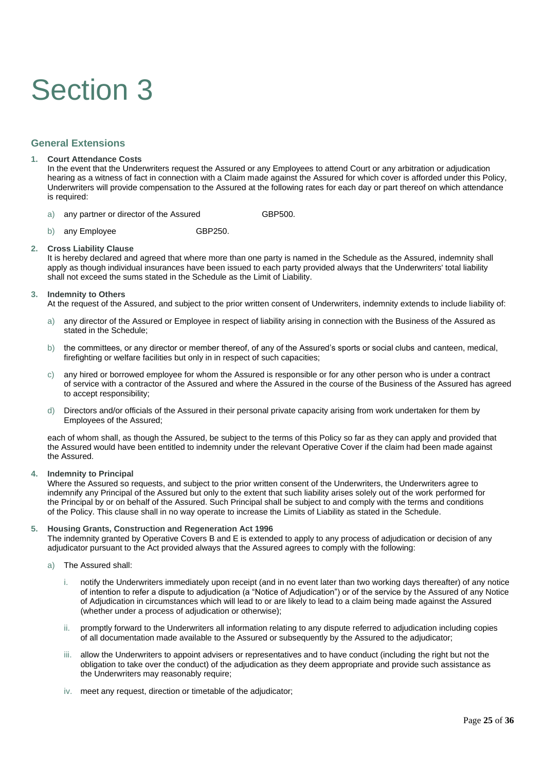## Section 3

## **General Extensions**

#### **1. Court Attendance Costs**

In the event that the Underwriters request the Assured or any Employees to attend Court or any arbitration or adjudication hearing as a witness of fact in connection with a Claim made against the Assured for which cover is afforded under this Policy, Underwriters will provide compensation to the Assured at the following rates for each day or part thereof on which attendance is required:

- a) any partner or director of the Assured GBP500.
- b) any Employee GBP250.

#### **2. Cross Liability Clause**

It is hereby declared and agreed that where more than one party is named in the Schedule as the Assured, indemnity shall apply as though individual insurances have been issued to each party provided always that the Underwriters' total liability shall not exceed the sums stated in the Schedule as the Limit of Liability.

#### **3. Indemnity to Others**

At the request of the Assured, and subject to the prior written consent of Underwriters, indemnity extends to include liability of:

- a) any director of the Assured or Employee in respect of liability arising in connection with the Business of the Assured as stated in the Schedule;
- b) the committees, or any director or member thereof, of any of the Assured's sports or social clubs and canteen, medical, firefighting or welfare facilities but only in in respect of such capacities;
- c) any hired or borrowed employee for whom the Assured is responsible or for any other person who is under a contract of service with a contractor of the Assured and where the Assured in the course of the Business of the Assured has agreed to accept responsibility;
- d) Directors and/or officials of the Assured in their personal private capacity arising from work undertaken for them by Employees of the Assured;

each of whom shall, as though the Assured, be subject to the terms of this Policy so far as they can apply and provided that the Assured would have been entitled to indemnity under the relevant Operative Cover if the claim had been made against the Assured.

**4. Indemnity to Principal** 

Where the Assured so requests, and subject to the prior written consent of the Underwriters, the Underwriters agree to indemnify any Principal of the Assured but only to the extent that such liability arises solely out of the work performed for the Principal by or on behalf of the Assured. Such Principal shall be subject to and comply with the terms and conditions of the Policy. This clause shall in no way operate to increase the Limits of Liability as stated in the Schedule.

#### **5. Housing Grants, Construction and Regeneration Act 1996**

The indemnity granted by Operative Covers B and E is extended to apply to any process of adjudication or decision of any adjudicator pursuant to the Act provided always that the Assured agrees to comply with the following:

- a) The Assured shall:
	- i. notify the Underwriters immediately upon receipt (and in no event later than two working days thereafter) of any notice of intention to refer a dispute to adjudication (a "Notice of Adjudication") or of the service by the Assured of any Notice of Adjudication in circumstances which will lead to or are likely to lead to a claim being made against the Assured (whether under a process of adjudication or otherwise);
	- ii. promptly forward to the Underwriters all information relating to any dispute referred to adjudication including copies of all documentation made available to the Assured or subsequently by the Assured to the adjudicator;
	- iii. allow the Underwriters to appoint advisers or representatives and to have conduct (including the right but not the obligation to take over the conduct) of the adjudication as they deem appropriate and provide such assistance as the Underwriters may reasonably require;
	- iv. meet any request, direction or timetable of the adjudicator;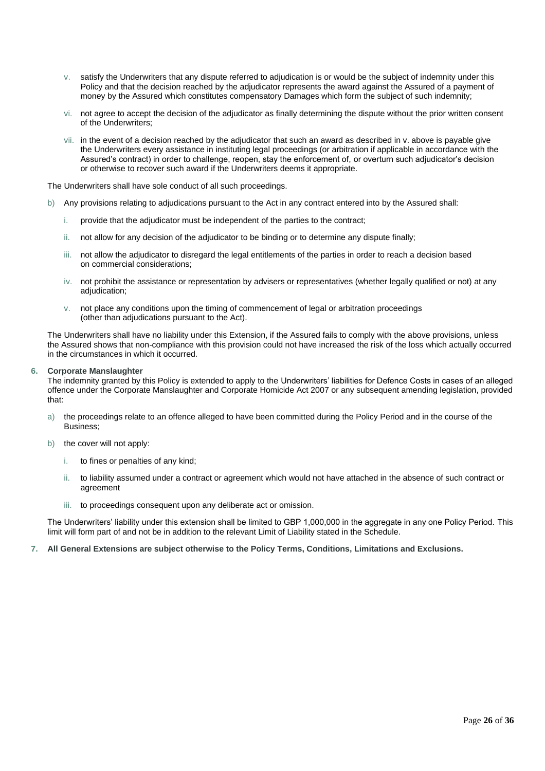- v. satisfy the Underwriters that any dispute referred to adjudication is or would be the subject of indemnity under this Policy and that the decision reached by the adjudicator represents the award against the Assured of a payment of money by the Assured which constitutes compensatory Damages which form the subject of such indemnity;
- vi. not agree to accept the decision of the adjudicator as finally determining the dispute without the prior written consent of the Underwriters;
- vii. in the event of a decision reached by the adjudicator that such an award as described in v. above is payable give the Underwriters every assistance in instituting legal proceedings (or arbitration if applicable in accordance with the Assured's contract) in order to challenge, reopen, stay the enforcement of, or overturn such adjudicator's decision or otherwise to recover such award if the Underwriters deems it appropriate.

The Underwriters shall have sole conduct of all such proceedings.

- b) Any provisions relating to adjudications pursuant to the Act in any contract entered into by the Assured shall:
	- i. provide that the adjudicator must be independent of the parties to the contract;
	- ii. not allow for any decision of the adjudicator to be binding or to determine any dispute finally;
	- iii. not allow the adjudicator to disregard the legal entitlements of the parties in order to reach a decision based on commercial considerations;
	- iv. not prohibit the assistance or representation by advisers or representatives (whether legally qualified or not) at any adjudication;
	- v. not place any conditions upon the timing of commencement of legal or arbitration proceedings (other than adjudications pursuant to the Act).

The Underwriters shall have no liability under this Extension, if the Assured fails to comply with the above provisions, unless the Assured shows that non-compliance with this provision could not have increased the risk of the loss which actually occurred in the circumstances in which it occurred.

#### **6. Corporate Manslaughter**

The indemnity granted by this Policy is extended to apply to the Underwriters' liabilities for Defence Costs in cases of an alleged offence under the Corporate Manslaughter and Corporate Homicide Act 2007 or any subsequent amending legislation, provided that:

- a) the proceedings relate to an offence alleged to have been committed during the Policy Period and in the course of the Business;
- b) the cover will not apply:
	- i. to fines or penalties of any kind;
	- ii. to liability assumed under a contract or agreement which would not have attached in the absence of such contract or agreement
	- iii. to proceedings consequent upon any deliberate act or omission.

The Underwriters' liability under this extension shall be limited to GBP 1,000,000 in the aggregate in any one Policy Period. This limit will form part of and not be in addition to the relevant Limit of Liability stated in the Schedule.

**7. All General Extensions are subject otherwise to the Policy Terms, Conditions, Limitations and Exclusions.**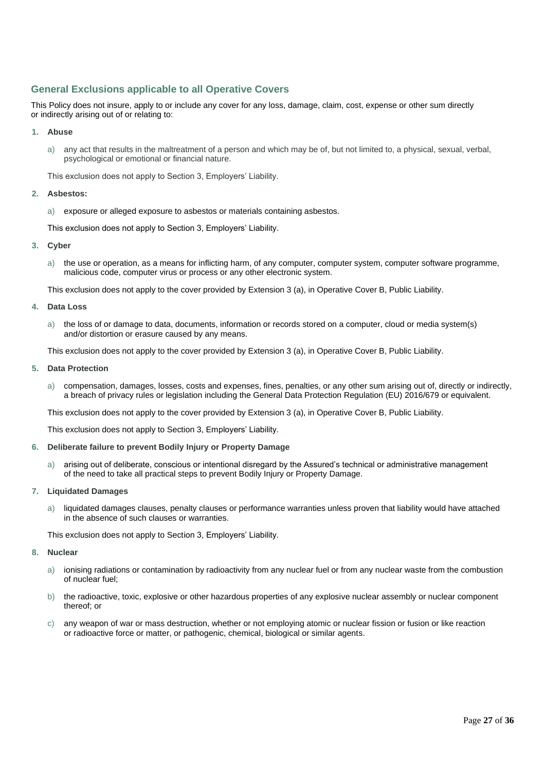## **General Exclusions applicable to all Operative Covers**

This Policy does not insure, apply to or include any cover for any loss, damage, claim, cost, expense or other sum directly or indirectly arising out of or relating to:

#### **1. Abuse**

a) any act that results in the maltreatment of a person and which may be of, but not limited to, a physical, sexual, verbal, psychological or emotional or financial nature.

This exclusion does not apply to Section 3, Employers' Liability.

#### **2. Asbestos:**

a) exposure or alleged exposure to asbestos or materials containing asbestos.

This exclusion does not apply to Section 3, Employers' Liability.

#### **3. Cyber**

a) the use or operation, as a means for inflicting harm, of any computer, computer system, computer software programme, malicious code, computer virus or process or any other electronic system.

This exclusion does not apply to the cover provided by Extension 3 (a), in Operative Cover B, Public Liability.

#### **4. Data Loss**

a) the loss of or damage to data, documents, information or records stored on a computer, cloud or media system(s) and/or distortion or erasure caused by any means.

This exclusion does not apply to the cover provided by Extension 3 (a), in Operative Cover B, Public Liability.

#### **5. Data Protection**

a) compensation, damages, losses, costs and expenses, fines, penalties, or any other sum arising out of, directly or indirectly, a breach of privacy rules or legislation including the General Data Protection Regulation (EU) 2016/679 or equivalent.

This exclusion does not apply to the cover provided by Extension 3 (a), in Operative Cover B, Public Liability.

This exclusion does not apply to Section 3, Employers' Liability.

#### **6. Deliberate failure to prevent Bodily Injury or Property Damage**

a) arising out of deliberate, conscious or intentional disregard by the Assured's technical or administrative management of the need to take all practical steps to prevent Bodily Injury or Property Damage.

#### **7. Liquidated Damages**

liquidated damages clauses, penalty clauses or performance warranties unless proven that liability would have attached in the absence of such clauses or warranties.

This exclusion does not apply to Section 3, Employers' Liability.

#### **8. Nuclear**

- a) ionising radiations or contamination by radioactivity from any nuclear fuel or from any nuclear waste from the combustion of nuclear fuel;
- b) the radioactive, toxic, explosive or other hazardous properties of any explosive nuclear assembly or nuclear component thereof; or
- c) any weapon of war or mass destruction, whether or not employing atomic or nuclear fission or fusion or like reaction or radioactive force or matter, or pathogenic, chemical, biological or similar agents.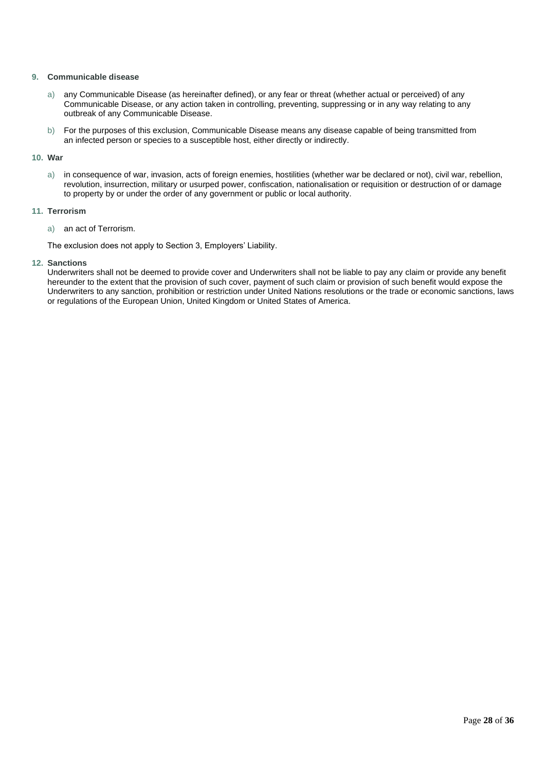#### **9. Communicable disease**

- a) any Communicable Disease (as hereinafter defined), or any fear or threat (whether actual or perceived) of any Communicable Disease, or any action taken in controlling, preventing, suppressing or in any way relating to any outbreak of any Communicable Disease.
- b) For the purposes of this exclusion, Communicable Disease means any disease capable of being transmitted from an infected person or species to a susceptible host, either directly or indirectly.

#### **10. War**

a) in consequence of war, invasion, acts of foreign enemies, hostilities (whether war be declared or not), civil war, rebellion, revolution, insurrection, military or usurped power, confiscation, nationalisation or requisition or destruction of or damage to property by or under the order of any government or public or local authority.

#### **11. Terrorism**

a) an act of Terrorism.

The exclusion does not apply to Section 3, Employers' Liability.

**12. Sanctions**

Underwriters shall not be deemed to provide cover and Underwriters shall not be liable to pay any claim or provide any benefit hereunder to the extent that the provision of such cover, payment of such claim or provision of such benefit would expose the Underwriters to any sanction, prohibition or restriction under United Nations resolutions or the trade or economic sanctions, laws or regulations of the European Union, United Kingdom or United States of America.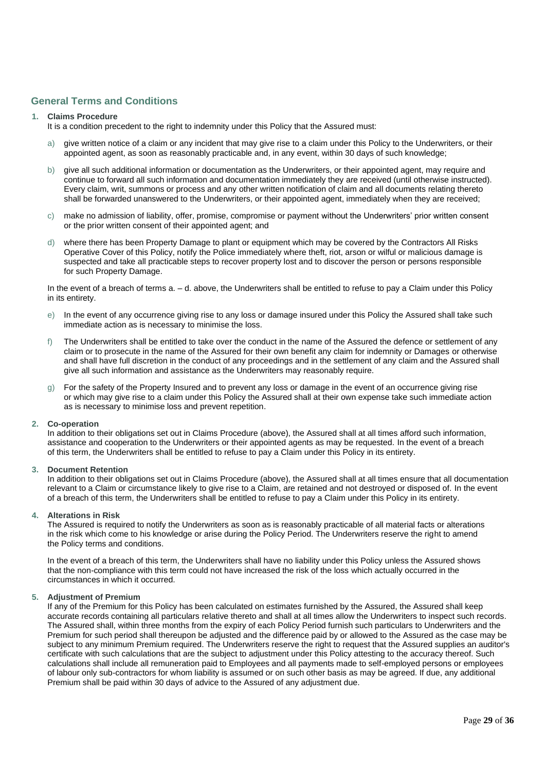### **General Terms and Conditions**

#### **1. Claims Procedure**

- It is a condition precedent to the right to indemnity under this Policy that the Assured must:
- give written notice of a claim or any incident that may give rise to a claim under this Policy to the Underwriters, or their appointed agent, as soon as reasonably practicable and, in any event, within 30 days of such knowledge;
- b) give all such additional information or documentation as the Underwriters, or their appointed agent, may require and continue to forward all such information and documentation immediately they are received (until otherwise instructed). Every claim, writ, summons or process and any other written notification of claim and all documents relating thereto shall be forwarded unanswered to the Underwriters, or their appointed agent, immediately when they are received;
- c) make no admission of liability, offer, promise, compromise or payment without the Underwriters' prior written consent or the prior written consent of their appointed agent; and
- d) where there has been Property Damage to plant or equipment which may be covered by the Contractors All Risks Operative Cover of this Policy, notify the Police immediately where theft, riot, arson or wilful or malicious damage is suspected and take all practicable steps to recover property lost and to discover the person or persons responsible for such Property Damage.

In the event of a breach of terms  $a - d$ , above, the Underwriters shall be entitled to refuse to pay a Claim under this Policy in its entirety.

- e) In the event of any occurrence giving rise to any loss or damage insured under this Policy the Assured shall take such immediate action as is necessary to minimise the loss.
- f) The Underwriters shall be entitled to take over the conduct in the name of the Assured the defence or settlement of any claim or to prosecute in the name of the Assured for their own benefit any claim for indemnity or Damages or otherwise and shall have full discretion in the conduct of any proceedings and in the settlement of any claim and the Assured shall give all such information and assistance as the Underwriters may reasonably require.
- g) For the safety of the Property Insured and to prevent any loss or damage in the event of an occurrence giving rise or which may give rise to a claim under this Policy the Assured shall at their own expense take such immediate action as is necessary to minimise loss and prevent repetition.

#### **2. Co-operation**

In addition to their obligations set out in Claims Procedure (above), the Assured shall at all times afford such information, assistance and cooperation to the Underwriters or their appointed agents as may be requested. In the event of a breach of this term, the Underwriters shall be entitled to refuse to pay a Claim under this Policy in its entirety.

#### **3. Document Retention**

In addition to their obligations set out in Claims Procedure (above), the Assured shall at all times ensure that all documentation relevant to a Claim or circumstance likely to give rise to a Claim, are retained and not destroyed or disposed of. In the event of a breach of this term, the Underwriters shall be entitled to refuse to pay a Claim under this Policy in its entirety.

#### **4. Alterations in Risk**

The Assured is required to notify the Underwriters as soon as is reasonably practicable of all material facts or alterations in the risk which come to his knowledge or arise during the Policy Period. The Underwriters reserve the right to amend the Policy terms and conditions.

In the event of a breach of this term, the Underwriters shall have no liability under this Policy unless the Assured shows that the non-compliance with this term could not have increased the risk of the loss which actually occurred in the circumstances in which it occurred.

#### **5. Adjustment of Premium**

If any of the Premium for this Policy has been calculated on estimates furnished by the Assured, the Assured shall keep accurate records containing all particulars relative thereto and shall at all times allow the Underwriters to inspect such records. The Assured shall, within three months from the expiry of each Policy Period furnish such particulars to Underwriters and the Premium for such period shall thereupon be adjusted and the difference paid by or allowed to the Assured as the case may be subject to any minimum Premium required. The Underwriters reserve the right to request that the Assured supplies an auditor's certificate with such calculations that are the subject to adjustment under this Policy attesting to the accuracy thereof. Such calculations shall include all remuneration paid to Employees and all payments made to self-employed persons or employees of labour only sub-contractors for whom liability is assumed or on such other basis as may be agreed. If due, any additional Premium shall be paid within 30 days of advice to the Assured of any adjustment due.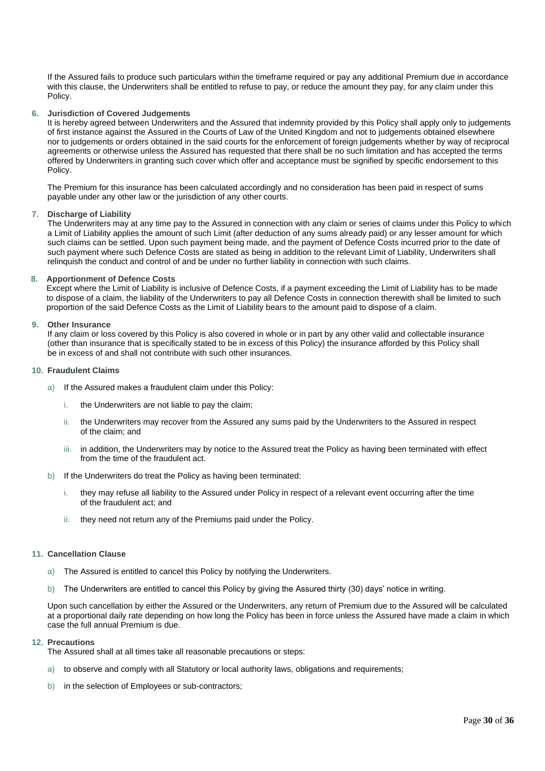If the Assured fails to produce such particulars within the timeframe required or pay any additional Premium due in accordance with this clause, the Underwriters shall be entitled to refuse to pay, or reduce the amount they pay, for any claim under this Policy.

#### **6. Jurisdiction of Covered Judgements**

It is hereby agreed between Underwriters and the Assured that indemnity provided by this Policy shall apply only to judgements of first instance against the Assured in the Courts of Law of the United Kingdom and not to judgements obtained elsewhere nor to judgements or orders obtained in the said courts for the enforcement of foreign judgements whether by way of reciprocal agreements or otherwise unless the Assured has requested that there shall be no such limitation and has accepted the terms offered by Underwriters in granting such cover which offer and acceptance must be signified by specific endorsement to this Policy.

The Premium for this insurance has been calculated accordingly and no consideration has been paid in respect of sums payable under any other law or the jurisdiction of any other courts.

#### **7. Discharge of Liability**

The Underwriters may at any time pay to the Assured in connection with any claim or series of claims under this Policy to which a Limit of Liability applies the amount of such Limit (after deduction of any sums already paid) or any lesser amount for which such claims can be settled. Upon such payment being made, and the payment of Defence Costs incurred prior to the date of such payment where such Defence Costs are stated as being in addition to the relevant Limit of Liability, Underwriters shall relinquish the conduct and control of and be under no further liability in connection with such claims.

#### **8. Apportionment of Defence Costs**

Except where the Limit of Liability is inclusive of Defence Costs, if a payment exceeding the Limit of Liability has to be made to dispose of a claim, the liability of the Underwriters to pay all Defence Costs in connection therewith shall be limited to such proportion of the said Defence Costs as the Limit of Liability bears to the amount paid to dispose of a claim.

#### **9. Other Insurance**

If any claim or loss covered by this Policy is also covered in whole or in part by any other valid and collectable insurance (other than insurance that is specifically stated to be in excess of this Policy) the insurance afforded by this Policy shall be in excess of and shall not contribute with such other insurances.

#### **10. Fraudulent Claims**

- a) If the Assured makes a fraudulent claim under this Policy:
	- i. the Underwriters are not liable to pay the claim;
	- ii. the Underwriters may recover from the Assured any sums paid by the Underwriters to the Assured in respect of the claim; and
	- iii. in addition, the Underwriters may by notice to the Assured treat the Policy as having been terminated with effect from the time of the fraudulent act.
- b) If the Underwriters do treat the Policy as having been terminated:
	- i. they may refuse all liability to the Assured under Policy in respect of a relevant event occurring after the time of the fraudulent act; and
	- ii. they need not return any of the Premiums paid under the Policy.

#### **11. Cancellation Clause**

- a) The Assured is entitled to cancel this Policy by notifying the Underwriters.
- b) The Underwriters are entitled to cancel this Policy by giving the Assured thirty (30) days' notice in writing.

Upon such cancellation by either the Assured or the Underwriters, any return of Premium due to the Assured will be calculated at a proportional daily rate depending on how long the Policy has been in force unless the Assured have made a claim in which case the full annual Premium is due.

#### **12. Precautions**

The Assured shall at all times take all reasonable precautions or steps:

- a) to observe and comply with all Statutory or local authority laws, obligations and requirements;
- b) in the selection of Employees or sub-contractors;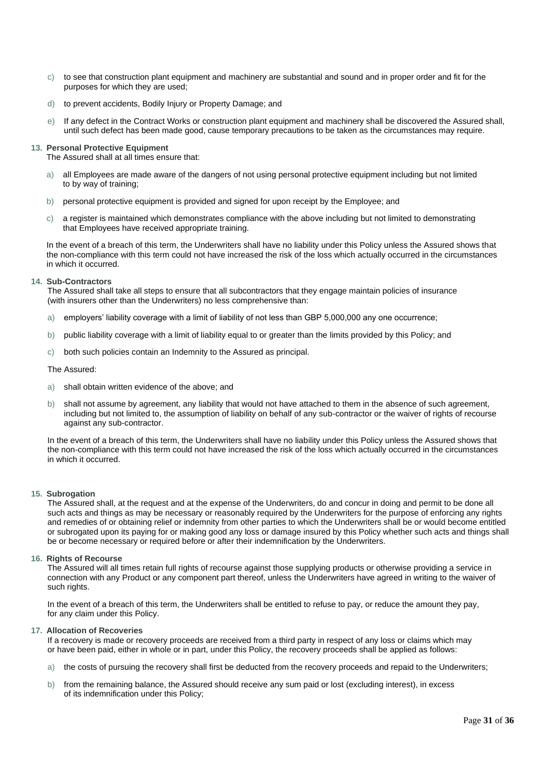- c) to see that construction plant equipment and machinery are substantial and sound and in proper order and fit for the purposes for which they are used;
- d) to prevent accidents, Bodily Injury or Property Damage; and
- e) If any defect in the Contract Works or construction plant equipment and machinery shall be discovered the Assured shall, until such defect has been made good, cause temporary precautions to be taken as the circumstances may require.

#### **13. Personal Protective Equipment**

The Assured shall at all times ensure that:

- all Employees are made aware of the dangers of not using personal protective equipment including but not limited to by way of training;
- b) personal protective equipment is provided and signed for upon receipt by the Employee; and
- c) a register is maintained which demonstrates compliance with the above including but not limited to demonstrating that Employees have received appropriate training.

In the event of a breach of this term, the Underwriters shall have no liability under this Policy unless the Assured shows that the non-compliance with this term could not have increased the risk of the loss which actually occurred in the circumstances in which it occurred.

#### **14. Sub-Contractors**

The Assured shall take all steps to ensure that all subcontractors that they engage maintain policies of insurance (with insurers other than the Underwriters) no less comprehensive than:

- employers' liability coverage with a limit of liability of not less than GBP 5,000,000 any one occurrence;
- b) public liability coverage with a limit of liability equal to or greater than the limits provided by this Policy; and
- c) both such policies contain an Indemnity to the Assured as principal.

#### The Assured:

- a) shall obtain written evidence of the above; and
- b) shall not assume by agreement, any liability that would not have attached to them in the absence of such agreement, including but not limited to, the assumption of liability on behalf of any sub-contractor or the waiver of rights of recourse against any sub-contractor.

In the event of a breach of this term, the Underwriters shall have no liability under this Policy unless the Assured shows that the non-compliance with this term could not have increased the risk of the loss which actually occurred in the circumstances in which it occurred.

#### **15. Subrogation**

The Assured shall, at the request and at the expense of the Underwriters, do and concur in doing and permit to be done all such acts and things as may be necessary or reasonably required by the Underwriters for the purpose of enforcing any rights and remedies of or obtaining relief or indemnity from other parties to which the Underwriters shall be or would become entitled or subrogated upon its paying for or making good any loss or damage insured by this Policy whether such acts and things shall be or become necessary or required before or after their indemnification by the Underwriters.

#### **16. Rights of Recourse**

The Assured will all times retain full rights of recourse against those supplying products or otherwise providing a service in connection with any Product or any component part thereof, unless the Underwriters have agreed in writing to the waiver of such rights.

In the event of a breach of this term, the Underwriters shall be entitled to refuse to pay, or reduce the amount they pay, for any claim under this Policy.

#### **17. Allocation of Recoveries**

If a recovery is made or recovery proceeds are received from a third party in respect of any loss or claims which may or have been paid, either in whole or in part, under this Policy, the recovery proceeds shall be applied as follows:

- a) the costs of pursuing the recovery shall first be deducted from the recovery proceeds and repaid to the Underwriters;
- b) from the remaining balance, the Assured should receive any sum paid or lost (excluding interest), in excess of its indemnification under this Policy;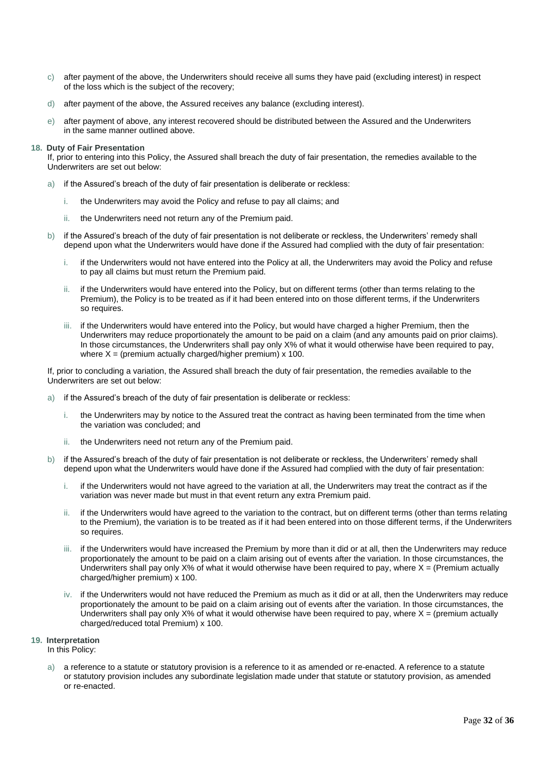- c) after payment of the above, the Underwriters should receive all sums they have paid (excluding interest) in respect of the loss which is the subject of the recovery;
- d) after payment of the above, the Assured receives any balance (excluding interest).
- e) after payment of above, any interest recovered should be distributed between the Assured and the Underwriters in the same manner outlined above.

#### **18. Duty of Fair Presentation**

If, prior to entering into this Policy, the Assured shall breach the duty of fair presentation, the remedies available to the Underwriters are set out below:

- a) if the Assured's breach of the duty of fair presentation is deliberate or reckless:
	- i. the Underwriters may avoid the Policy and refuse to pay all claims; and
	- ii. the Underwriters need not return any of the Premium paid.
- b) if the Assured's breach of the duty of fair presentation is not deliberate or reckless, the Underwriters' remedy shall depend upon what the Underwriters would have done if the Assured had complied with the duty of fair presentation:
	- i. if the Underwriters would not have entered into the Policy at all, the Underwriters may avoid the Policy and refuse to pay all claims but must return the Premium paid.
	- ii. if the Underwriters would have entered into the Policy, but on different terms (other than terms relating to the Premium), the Policy is to be treated as if it had been entered into on those different terms, if the Underwriters so requires.
	- iii. if the Underwriters would have entered into the Policy, but would have charged a higher Premium, then the Underwriters may reduce proportionately the amount to be paid on a claim (and any amounts paid on prior claims). In those circumstances, the Underwriters shall pay only X% of what it would otherwise have been required to pay, where  $X =$  (premium actually charged/higher premium)  $x$  100.

If, prior to concluding a variation, the Assured shall breach the duty of fair presentation, the remedies available to the Underwriters are set out below:

- if the Assured's breach of the duty of fair presentation is deliberate or reckless:
	- i. the Underwriters may by notice to the Assured treat the contract as having been terminated from the time when the variation was concluded; and
	- ii. the Underwriters need not return any of the Premium paid.
- b) if the Assured's breach of the duty of fair presentation is not deliberate or reckless, the Underwriters' remedy shall depend upon what the Underwriters would have done if the Assured had complied with the duty of fair presentation:
	- i. if the Underwriters would not have agreed to the variation at all, the Underwriters may treat the contract as if the variation was never made but must in that event return any extra Premium paid.
	- ii. if the Underwriters would have agreed to the variation to the contract, but on different terms (other than terms relating to the Premium), the variation is to be treated as if it had been entered into on those different terms, if the Underwriters so requires.
	- iii. if the Underwriters would have increased the Premium by more than it did or at all, then the Underwriters may reduce proportionately the amount to be paid on a claim arising out of events after the variation. In those circumstances, the Underwriters shall pay only  $X\%$  of what it would otherwise have been required to pay, where  $X = (P$ remium actually charged/higher premium) x 100.
	- iv. if the Underwriters would not have reduced the Premium as much as it did or at all, then the Underwriters may reduce proportionately the amount to be paid on a claim arising out of events after the variation. In those circumstances, the Underwriters shall pay only  $X\%$  of what it would otherwise have been required to pay, where  $X =$  (premium actually charged/reduced total Premium) x 100.

#### **19. Interpretation**

In this Policy:

a) a reference to a statute or statutory provision is a reference to it as amended or re-enacted. A reference to a statute or statutory provision includes any subordinate legislation made under that statute or statutory provision, as amended or re-enacted.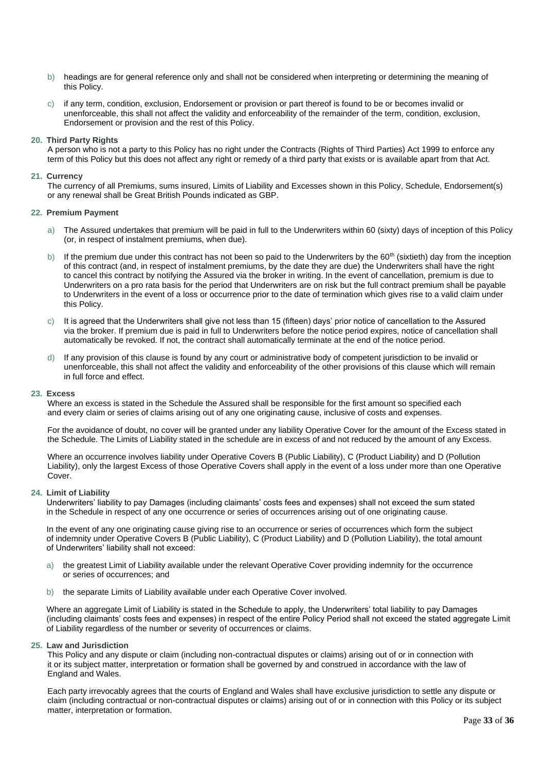- b) headings are for general reference only and shall not be considered when interpreting or determining the meaning of this Policy.
- c) if any term, condition, exclusion, Endorsement or provision or part thereof is found to be or becomes invalid or unenforceable, this shall not affect the validity and enforceability of the remainder of the term, condition, exclusion, Endorsement or provision and the rest of this Policy.

#### **20. Third Party Rights**

A person who is not a party to this Policy has no right under the Contracts (Rights of Third Parties) Act 1999 to enforce any term of this Policy but this does not affect any right or remedy of a third party that exists or is available apart from that Act.

#### **21. Currency**

The currency of all Premiums, sums insured, Limits of Liability and Excesses shown in this Policy, Schedule, Endorsement(s) or any renewal shall be Great British Pounds indicated as GBP.

#### **22. Premium Payment**

- a) The Assured undertakes that premium will be paid in full to the Underwriters within 60 (sixty) days of inception of this Policy (or, in respect of instalment premiums, when due).
- b) If the premium due under this contract has not been so paid to the Underwriters by the  $60<sup>th</sup>$  (sixtieth) day from the inception of this contract (and, in respect of instalment premiums, by the date they are due) the Underwriters shall have the right to cancel this contract by notifying the Assured via the broker in writing. In the event of cancellation, premium is due to Underwriters on a pro rata basis for the period that Underwriters are on risk but the full contract premium shall be payable to Underwriters in the event of a loss or occurrence prior to the date of termination which gives rise to a valid claim under this Policy.
- c) It is agreed that the Underwriters shall give not less than 15 (fifteen) days' prior notice of cancellation to the Assured via the broker. If premium due is paid in full to Underwriters before the notice period expires, notice of cancellation shall automatically be revoked. If not, the contract shall automatically terminate at the end of the notice period.
- d) If any provision of this clause is found by any court or administrative body of competent jurisdiction to be invalid or unenforceable, this shall not affect the validity and enforceability of the other provisions of this clause which will remain in full force and effect.

#### **23. Excess**

Where an excess is stated in the Schedule the Assured shall be responsible for the first amount so specified each and every claim or series of claims arising out of any one originating cause, inclusive of costs and expenses.

For the avoidance of doubt, no cover will be granted under any liability Operative Cover for the amount of the Excess stated in the Schedule. The Limits of Liability stated in the schedule are in excess of and not reduced by the amount of any Excess.

Where an occurrence involves liability under Operative Covers B (Public Liability), C (Product Liability) and D (Pollution Liability), only the largest Excess of those Operative Covers shall apply in the event of a loss under more than one Operative Cover.

#### **24. Limit of Liability**

Underwriters' liability to pay Damages (including claimants' costs fees and expenses) shall not exceed the sum stated in the Schedule in respect of any one occurrence or series of occurrences arising out of one originating cause.

In the event of any one originating cause giving rise to an occurrence or series of occurrences which form the subject of indemnity under Operative Covers B (Public Liability), C (Product Liability) and D (Pollution Liability), the total amount of Underwriters' liability shall not exceed:

- a) the greatest Limit of Liability available under the relevant Operative Cover providing indemnity for the occurrence or series of occurrences; and
- b) the separate Limits of Liability available under each Operative Cover involved.

Where an aggregate Limit of Liability is stated in the Schedule to apply, the Underwriters' total liability to pay Damages (including claimants' costs fees and expenses) in respect of the entire Policy Period shall not exceed the stated aggregate Limit of Liability regardless of the number or severity of occurrences or claims.

#### **25. Law and Jurisdiction**

This Policy and any dispute or claim (including non-contractual disputes or claims) arising out of or in connection with it or its subject matter, interpretation or formation shall be governed by and construed in accordance with the law of England and Wales.

Each party irrevocably agrees that the courts of England and Wales shall have exclusive jurisdiction to settle any dispute or claim (including contractual or non-contractual disputes or claims) arising out of or in connection with this Policy or its subject matter, interpretation or formation.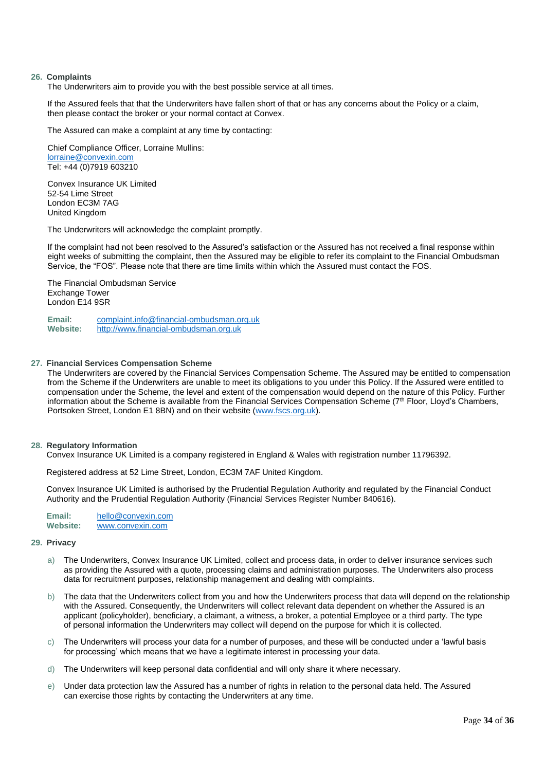#### **26. Complaints**

The Underwriters aim to provide you with the best possible service at all times.

If the Assured feels that that the Underwriters have fallen short of that or has any concerns about the Policy or a claim, then please contact the broker or your normal contact at Convex.

The Assured can make a complaint at any time by contacting:

Chief Compliance Officer, Lorraine Mullins: [lorraine@convexin.com](mailto:lorraine@convexin.com) Tel: +44 (0)7919 603210

Convex Insurance UK Limited 52-54 Lime Street London EC3M 7AG United Kingdom

The Underwriters will acknowledge the complaint promptly.

If the complaint had not been resolved to the Assured's satisfaction or the Assured has not received a final response within eight weeks of submitting the complaint, then the Assured may be eligible to refer its complaint to the Financial Ombudsman Service, the "FOS". Please note that there are time limits within which the Assured must contact the FOS.

The Financial Ombudsman Service Exchange Tower London E14 9SR

**Email**: [complaint.info@financial-ombudsman.org.uk](mailto:complaint.info@financial-ombudsman.org.uk) **Website:** [http://www.financial-ombudsman.org.uk](http://www.financial-ombudsman.org.uk/)

#### **27. Financial Services Compensation Scheme**

The Underwriters are covered by the Financial Services Compensation Scheme. The Assured may be entitled to compensation from the Scheme if the Underwriters are unable to meet its obligations to you under this Policy. If the Assured were entitled to compensation under the Scheme, the level and extent of the compensation would depend on the nature of this Policy. Further information about the Scheme is available from the Financial Services Compensation Scheme  $(7<sup>th</sup>$  Floor, Lloyd's Chambers, Portsoken Street, London E1 8BN) and on their website [\(www.fscs.org.uk\)](http://www.fscs.org.uk/).

#### **28. Regulatory Information**

Convex Insurance UK Limited is a company registered in England & Wales with registration number 11796392.

Registered address at 52 Lime Street, London, EC3M 7AF United Kingdom.

Convex Insurance UK Limited is authorised by the Prudential Regulation Authority and regulated by the Financial Conduct Authority and the Prudential Regulation Authority (Financial Services Register Number 840616).

Email: [hello@convexin.com](mailto:hello@convexin.com)<br>Website: www.convexin.com **Website:** [www.convexin.com](http://www.convexin.com/)

#### **29. Privacy**

- a) The Underwriters, Convex Insurance UK Limited, collect and process data, in order to deliver insurance services such as providing the Assured with a quote, processing claims and administration purposes. The Underwriters also process data for recruitment purposes, relationship management and dealing with complaints.
- b) The data that the Underwriters collect from you and how the Underwriters process that data will depend on the relationship with the Assured. Consequently, the Underwriters will collect relevant data dependent on whether the Assured is an applicant (policyholder), beneficiary, a claimant, a witness, a broker, a potential Employee or a third party. The type of personal information the Underwriters may collect will depend on the purpose for which it is collected.
- c) The Underwriters will process your data for a number of purposes, and these will be conducted under a 'lawful basis for processing' which means that we have a legitimate interest in processing your data.
- d) The Underwriters will keep personal data confidential and will only share it where necessary.
- e) Under data protection law the Assured has a number of rights in relation to the personal data held. The Assured can exercise those rights by contacting the Underwriters at any time.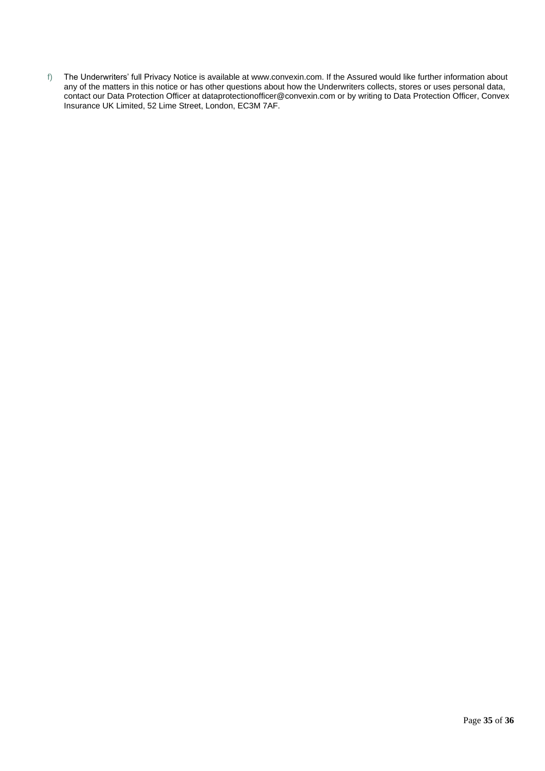f) The Underwriters' full Privacy Notice is available at www.convexin.com. If the Assured would like further information about any of the matters in this notice or has other questions about how the Underwriters collects, stores or uses personal data, contact our Data Protection Officer at dataprotectionofficer@convexin.com or by writing to Data Protection Officer, Convex Insurance UK Limited, 52 Lime Street, London, EC3M 7AF.